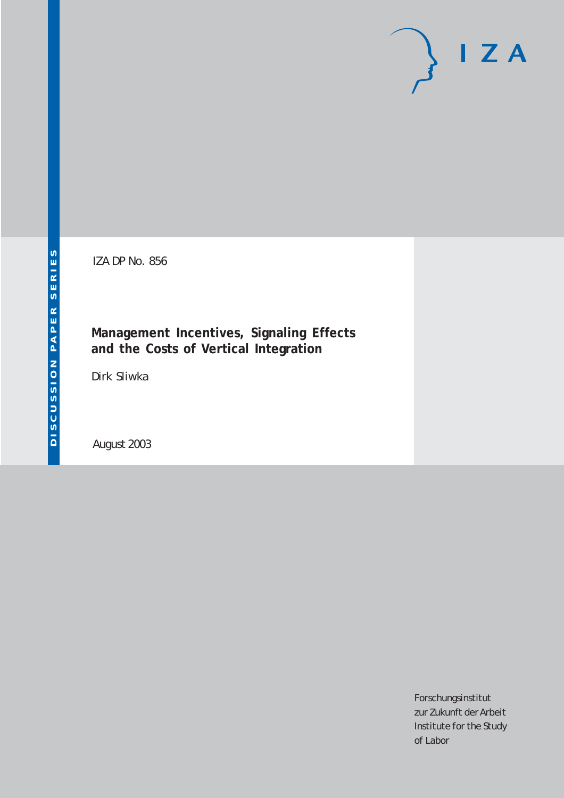# $I Z A$

IZA DP No. 856

# **Management Incentives, Signaling Effects and the Costs of Vertical Integration**

Dirk Sliwka

August 2003

Forschungsinstitut zur Zukunft der Arbeit Institute for the Study of Labor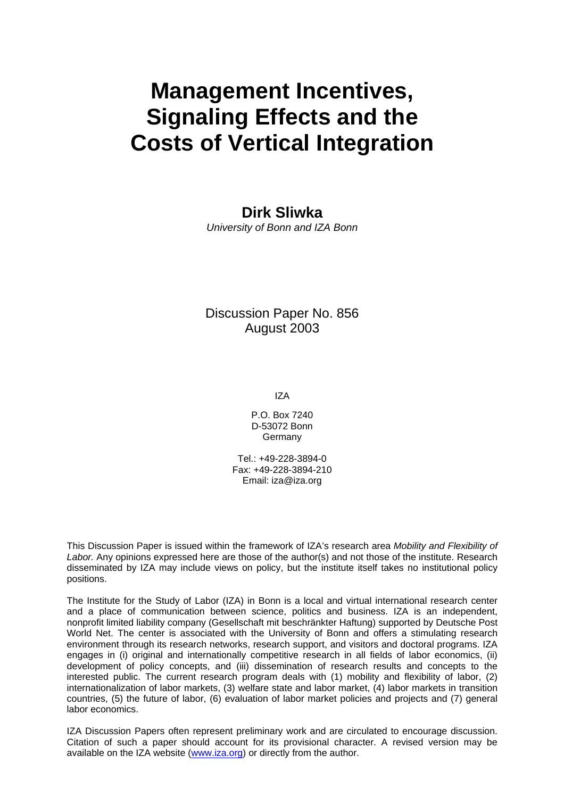# **Management Incentives, Signaling Effects and the Costs of Vertical Integration**

### **Dirk Sliwka**

*University of Bonn and IZA Bonn* 

Discussion Paper No. 856 August 2003

IZA

P.O. Box 7240 D-53072 Bonn Germany

Tel.: +49-228-3894-0 Fax: +49-228-3894-210 Email: [iza@iza.org](mailto:iza@iza.org)

This Discussion Paper is issued within the framework of IZA's research area *Mobility and Flexibility of Labor.* Any opinions expressed here are those of the author(s) and not those of the institute. Research disseminated by IZA may include views on policy, but the institute itself takes no institutional policy positions.

The Institute for the Study of Labor (IZA) in Bonn is a local and virtual international research center and a place of communication between science, politics and business. IZA is an independent, nonprofit limited liability company (Gesellschaft mit beschränkter Haftung) supported by Deutsche Post World Net. The center is associated with the University of Bonn and offers a stimulating research environment through its research networks, research support, and visitors and doctoral programs. IZA engages in (i) original and internationally competitive research in all fields of labor economics, (ii) development of policy concepts, and (iii) dissemination of research results and concepts to the interested public. The current research program deals with (1) mobility and flexibility of labor, (2) internationalization of labor markets, (3) welfare state and labor market, (4) labor markets in transition countries, (5) the future of labor, (6) evaluation of labor market policies and projects and (7) general labor economics.

IZA Discussion Papers often represent preliminary work and are circulated to encourage discussion. Citation of such a paper should account for its provisional character. A revised version may be available on the IZA website ([www.iza.org](http://www.iza.org/)) or directly from the author.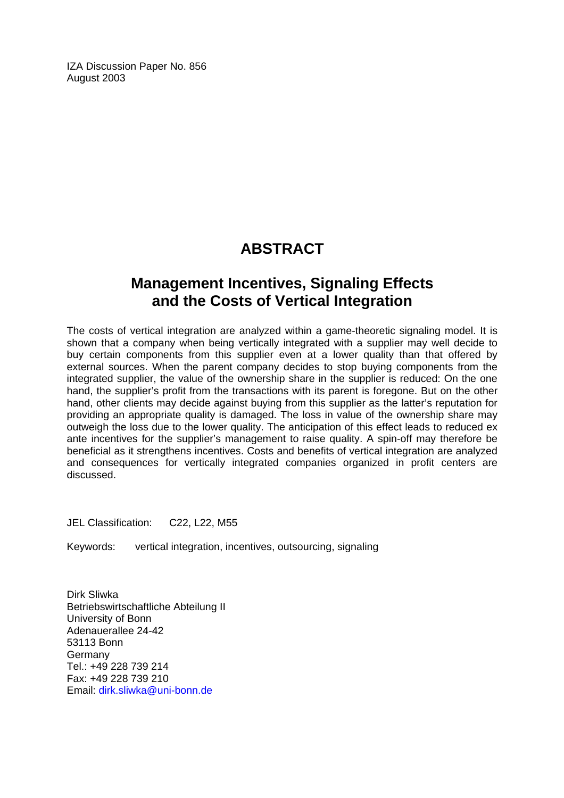IZA Discussion Paper No. 856 August 2003

# **ABSTRACT**

# **Management Incentives, Signaling Effects and the Costs of Vertical Integration**

The costs of vertical integration are analyzed within a game-theoretic signaling model. It is shown that a company when being vertically integrated with a supplier may well decide to buy certain components from this supplier even at a lower quality than that offered by external sources. When the parent company decides to stop buying components from the integrated supplier, the value of the ownership share in the supplier is reduced: On the one hand, the supplier's profit from the transactions with its parent is foregone. But on the other hand, other clients may decide against buying from this supplier as the latter's reputation for providing an appropriate quality is damaged. The loss in value of the ownership share may outweigh the loss due to the lower quality. The anticipation of this effect leads to reduced ex ante incentives for the supplier's management to raise quality. A spin-off may therefore be beneficial as it strengthens incentives. Costs and benefits of vertical integration are analyzed and consequences for vertically integrated companies organized in profit centers are discussed.

JEL Classification: C22, L22, M55

Keywords: vertical integration, incentives, outsourcing, signaling

Dirk Sliwka Betriebswirtschaftliche Abteilung II University of Bonn Adenauerallee 24-42 53113 Bonn Germany Tel.: +49 228 739 214 Fax: +49 228 739 210 Email: [dirk.sliwka@uni-bonn.de](mailto:dirk.sliwka@uni-bonn.de)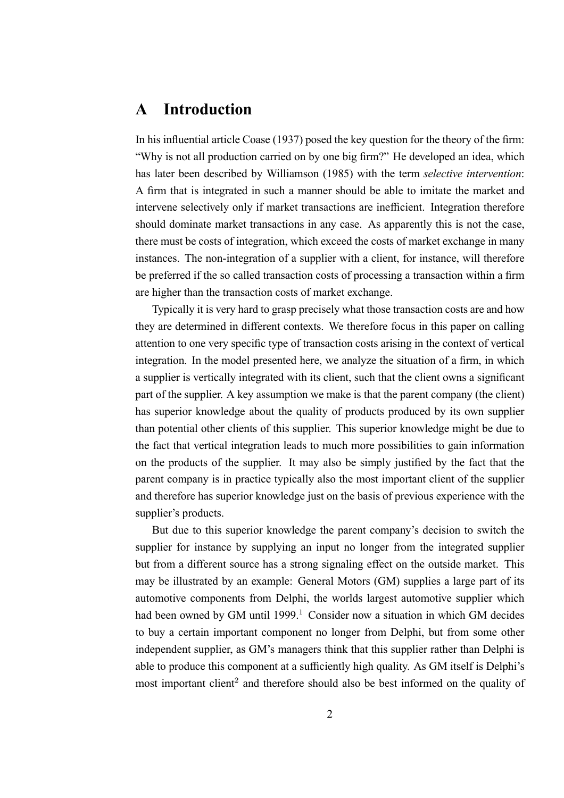# **A Introduction**

In his influential article Coase (1937) posed the key question for the theory of the firm: "Why is not all production carried on by one big firm?" He developed an idea, which has later been described by Williamson (1985) with the term *selective intervention*: A firm that is integrated in such a manner should be able to imitate the market and intervene selectively only if market transactions are inefficient. Integration therefore should dominate market transactions in any case. As apparently this is not the case, there must be costs of integration, which exceed the costs of market exchange in many instances. The non-integration of a supplier with a client, for instance, will therefore be preferred if the so called transaction costs of processing a transaction within a firm are higher than the transaction costs of market exchange.

Typically it is very hard to grasp precisely what those transaction costs are and how they are determined in different contexts. We therefore focus in this paper on calling attention to one very specific type of transaction costs arising in the context of vertical integration. In the model presented here, we analyze the situation of a firm, in which a supplier is vertically integrated with its client, such that the client owns a significant part of the supplier. A key assumption we make is that the parent company (the client) has superior knowledge about the quality of products produced by its own supplier than potential other clients of this supplier. This superior knowledge might be due to the fact that vertical integration leads to much more possibilities to gain information on the products of the supplier. It may also be simply justified by the fact that the parent company is in practice typically also the most important client of the supplier and therefore has superior knowledge just on the basis of previous experience with the supplier's products.

But due to this superior knowledge the parent company's decision to switch the supplier for instance by supplying an input no longer from the integrated supplier but from a different source has a strong signaling effect on the outside market. This may be illustrated by an example: General Motors (GM) supplies a large part of its automotive components from Delphi, the worlds largest automotive supplier which had been owned by GM until 1999.<sup>1</sup> Consider now a situation in which GM decides to buy a certain important component no longer from Delphi, but from some other independent supplier, as GM's managers think that this supplier rather than Delphi is able to produce this component at a sufficiently high quality. As GM itself is Delphi's most important client<sup>2</sup> and therefore should also be best informed on the quality of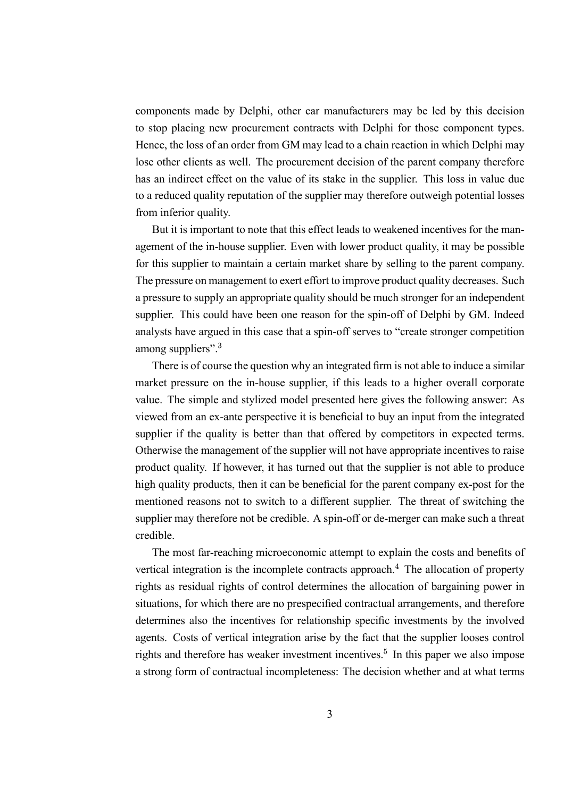components made by Delphi, other car manufacturers may be led by this decision to stop placing new procurement contracts with Delphi for those component types. Hence, the loss of an order from GM may lead to a chain reaction in which Delphi may lose other clients as well. The procurement decision of the parent company therefore has an indirect effect on the value of its stake in the supplier. This loss in value due to a reduced quality reputation of the supplier may therefore outweigh potential losses from inferior quality.

But it is important to note that this effect leads to weakened incentives for the management of the in-house supplier. Even with lower product quality, it may be possible for this supplier to maintain a certain market share by selling to the parent company. The pressure on management to exert effort to improve product quality decreases. Such a pressure to supply an appropriate quality should be much stronger for an independent supplier. This could have been one reason for the spin-off of Delphi by GM. Indeed analysts have argued in this case that a spin-off serves to "create stronger competition among suppliers".<sup>3</sup>

There is of course the question why an integrated firm is not able to induce a similar market pressure on the in-house supplier, if this leads to a higher overall corporate value. The simple and stylized model presented here gives the following answer: As viewed from an ex-ante perspective it is beneficial to buy an input from the integrated supplier if the quality is better than that offered by competitors in expected terms. Otherwise the management of the supplier will not have appropriate incentives to raise product quality. If however, it has turned out that the supplier is not able to produce high quality products, then it can be beneficial for the parent company ex-post for the mentioned reasons not to switch to a different supplier. The threat of switching the supplier may therefore not be credible. A spin-off or de-merger can make such a threat credible.

The most far-reaching microeconomic attempt to explain the costs and benefits of vertical integration is the incomplete contracts approach.<sup>4</sup> The allocation of property rights as residual rights of control determines the allocation of bargaining power in situations, for which there are no prespecified contractual arrangements, and therefore determines also the incentives for relationship specific investments by the involved agents. Costs of vertical integration arise by the fact that the supplier looses control rights and therefore has weaker investment incentives.<sup>5</sup> In this paper we also impose a strong form of contractual incompleteness: The decision whether and at what terms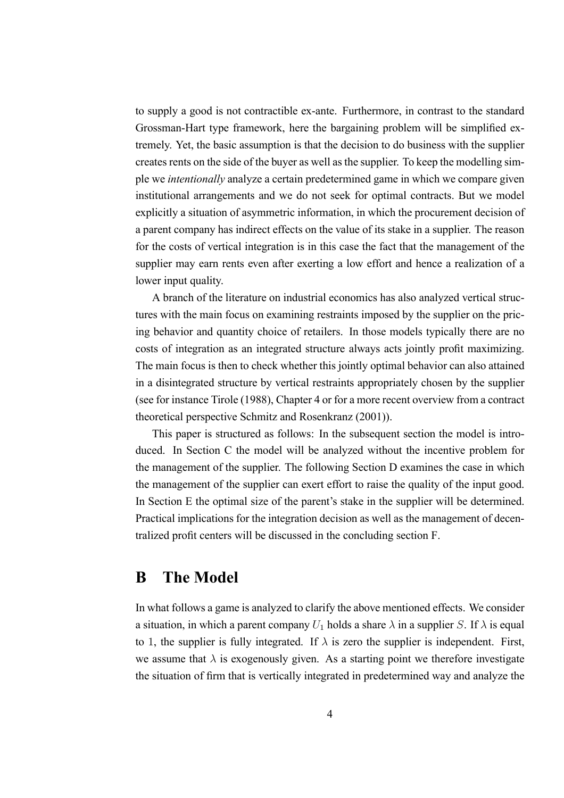to supply a good is not contractible ex-ante. Furthermore, in contrast to the standard Grossman-Hart type framework, here the bargaining problem will be simplified extremely. Yet, the basic assumption is that the decision to do business with the supplier creates rents on the side of the buyer as well as the supplier. To keep the modelling simple we *intentionally* analyze a certain predetermined game in which we compare given institutional arrangements and we do not seek for optimal contracts. But we model explicitly a situation of asymmetric information, in which the procurement decision of a parent company has indirect effects on the value of its stake in a supplier. The reason for the costs of vertical integration is in this case the fact that the management of the supplier may earn rents even after exerting a low effort and hence a realization of a lower input quality.

A branch of the literature on industrial economics has also analyzed vertical structures with the main focus on examining restraints imposed by the supplier on the pricing behavior and quantity choice of retailers. In those models typically there are no costs of integration as an integrated structure always acts jointly profit maximizing. The main focus is then to check whether this jointly optimal behavior can also attained in a disintegrated structure by vertical restraints appropriately chosen by the supplier (see for instance Tirole (1988), Chapter 4 or for a more recent overview from a contract theoretical perspective Schmitz and Rosenkranz (2001)).

This paper is structured as follows: In the subsequent section the model is introduced. In Section C the model will be analyzed without the incentive problem for the management of the supplier. The following Section D examines the case in which the management of the supplier can exert effort to raise the quality of the input good. In Section E the optimal size of the parent's stake in the supplier will be determined. Practical implications for the integration decision as well as the management of decentralized profit centers will be discussed in the concluding section F.

# **B The Model**

In what follows a game is analyzed to clarify the above mentioned effects. We consider a situation, in which a parent company  $U_1$  holds a share  $\lambda$  in a supplier S. If  $\lambda$  is equal to 1, the supplier is fully integrated. If  $\lambda$  is zero the supplier is independent. First, we assume that  $\lambda$  is exogenously given. As a starting point we therefore investigate the situation of firm that is vertically integrated in predetermined way and analyze the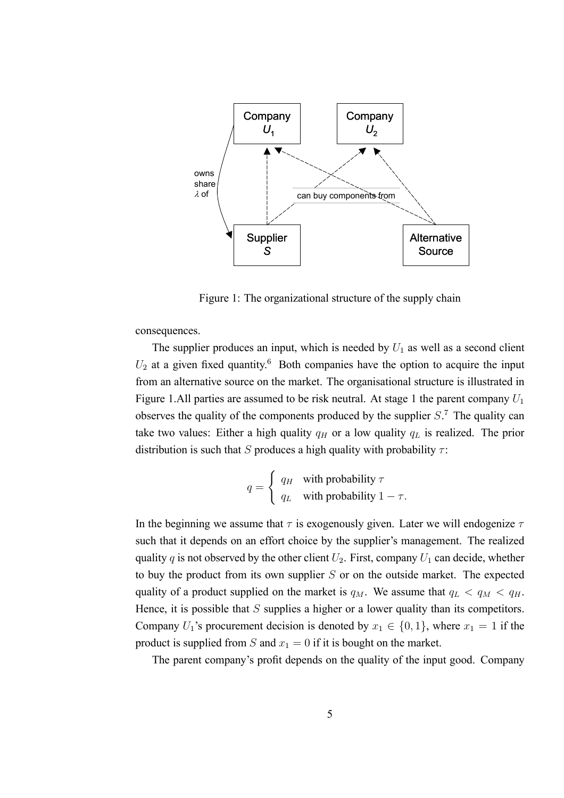

Figure 1: The organizational structure of the supply chain

consequences.

The supplier produces an input, which is needed by  $U_1$  as well as a second client  $U_2$  at a given fixed quantity.<sup>6</sup> Both companies have the option to acquire the input from an alternative source on the market. The organisational structure is illustrated in Figure 1.All parties are assumed to be risk neutral. At stage 1 the parent company  $U_1$ observes the quality of the components produced by the supplier  $S<sup>7</sup>$ . The quality can take two values: Either a high quality  $q_H$  or a low quality  $q_L$  is realized. The prior distribution is such that S produces a high quality with probability  $\tau$ :

$$
q = \begin{cases} q_H & \text{with probability } \tau \\ q_L & \text{with probability } 1 - \tau. \end{cases}
$$

In the beginning we assume that  $\tau$  is exogenously given. Later we will endogenize  $\tau$ such that it depends on an effort choice by the supplier's management. The realized quality q is not observed by the other client  $U_2$ . First, company  $U_1$  can decide, whether to buy the product from its own supplier  $S$  or on the outside market. The expected quality of a product supplied on the market is  $q_M$ . We assume that  $q_L < q_M < q_H$ . Hence, it is possible that  $S$  supplies a higher or a lower quality than its competitors. Company  $U_1$ 's procurement decision is denoted by  $x_1 \in \{0, 1\}$ , where  $x_1 = 1$  if the product is supplied from S and  $x_1 = 0$  if it is bought on the market.

The parent company's profit depends on the quality of the input good. Company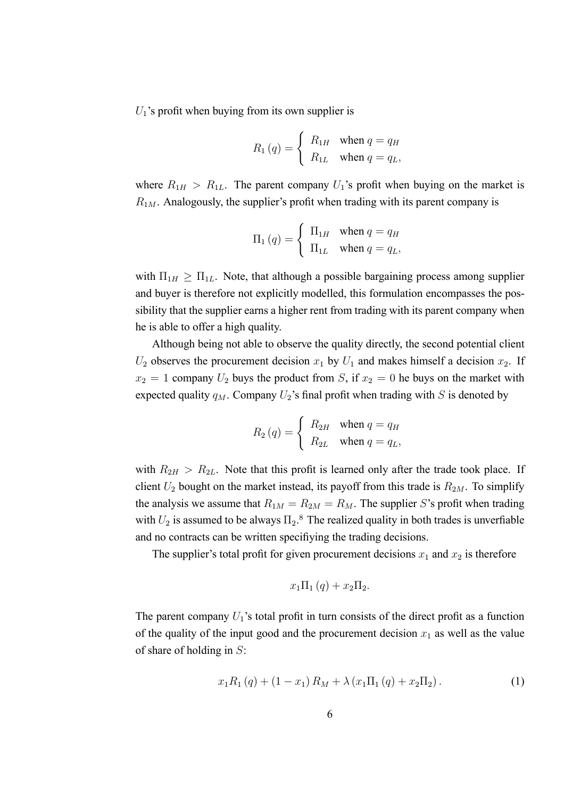$U_1$ 's profit when buying from its own supplier is

$$
R_1(q) = \begin{cases} R_{1H} & \text{when } q = q_H \\ R_{1L} & \text{when } q = q_L, \end{cases}
$$

where  $R_{1H} > R_{1L}$ . The parent company  $U_1$ 's profit when buying on the market is  $R_{1M}$ . Analogously, the supplier's profit when trading with its parent company is

$$
\Pi_1(q) = \begin{cases} \Pi_{1H} & \text{when } q = q_H \\ \Pi_{1L} & \text{when } q = q_L, \end{cases}
$$

with  $\Pi_{1H} \geq \Pi_{1L}$ . Note, that although a possible bargaining process among supplier and buyer is therefore not explicitly modelled, this formulation encompasses the possibility that the supplier earns a higher rent from trading with its parent company when he is able to offer a high quality.

Although being not able to observe the quality directly, the second potential client  $U_2$  observes the procurement decision  $x_1$  by  $U_1$  and makes himself a decision  $x_2$ . If  $x_2 = 1$  company  $U_2$  buys the product from S, if  $x_2 = 0$  he buys on the market with expected quality  $q_M$ . Company  $U_2$ 's final profit when trading with S is denoted by

$$
R_2(q) = \begin{cases} R_{2H} & \text{when } q = q_H \\ R_{2L} & \text{when } q = q_L, \end{cases}
$$

with  $R_{2H} > R_{2L}$ . Note that this profit is learned only after the trade took place. If client  $U_2$  bought on the market instead, its payoff from this trade is  $R_{2M}$ . To simplify the analysis we assume that  $R_{1M} = R_{2M} = R_M$ . The supplier S's profit when trading with  $U_2$  is assumed to be always  $\Pi_2$ .<sup>8</sup> The realized quality in both trades is unverfiable and no contracts can be written specifiying the trading decisions.

The supplier's total profit for given procurement decisions  $x_1$  and  $x_2$  is therefore

$$
x_1\Pi_1(q) + x_2\Pi_2.
$$

The parent company  $U_1$ 's total profit in turn consists of the direct profit as a function of the quality of the input good and the procurement decision  $x_1$  as well as the value of share of holding in  $S$ :

$$
x_1 R_1(q) + (1 - x_1) R_M + \lambda (x_1 \Pi_1(q) + x_2 \Pi_2).
$$
 (1)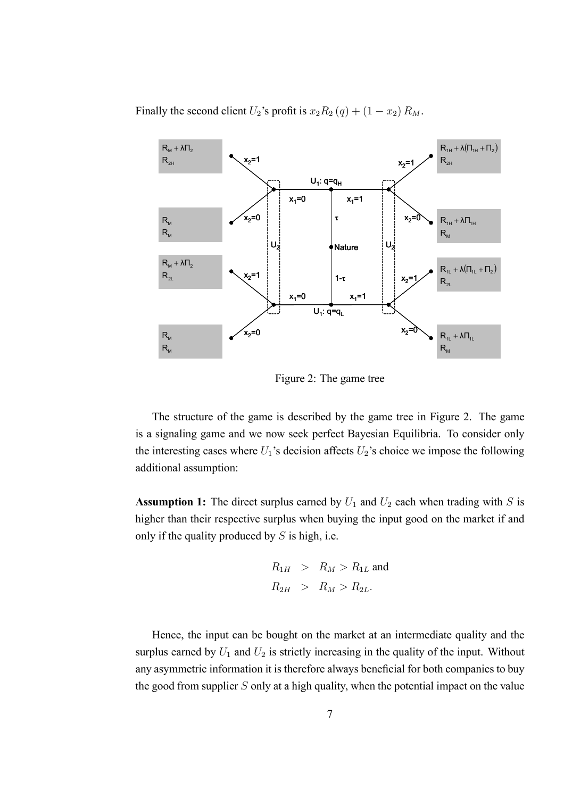Finally the second client  $U_2$ 's profit is  $x_2R_2(q) + (1 - x_2)R_M$ .



Figure 2: The game tree

The structure of the game is described by the game tree in Figure 2. The game is a signaling game and we now seek perfect Bayesian Equilibria. To consider only the interesting cases where  $U_1$ 's decision affects  $U_2$ 's choice we impose the following additional assumption:

**Assumption 1:** The direct surplus earned by  $U_1$  and  $U_2$  each when trading with S is higher than their respective surplus when buying the input good on the market if and only if the quality produced by  $S$  is high, i.e.

$$
R_{1H} > R_M > R_{1L}
$$
 and  

$$
R_{2H} > R_M > R_{2L}.
$$

Hence, the input can be bought on the market at an intermediate quality and the surplus earned by  $U_1$  and  $U_2$  is strictly increasing in the quality of the input. Without any asymmetric information it is therefore always beneficial for both companies to buy the good from supplier  $S$  only at a high quality, when the potential impact on the value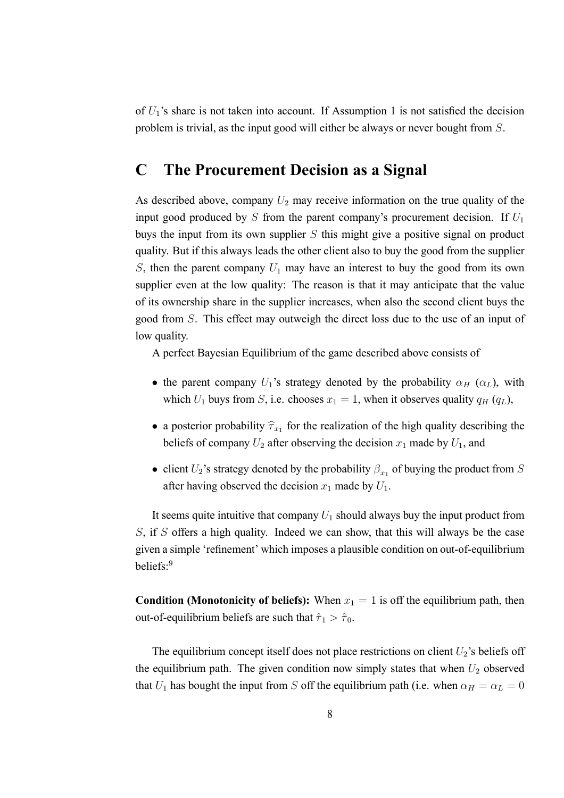of  $U_1$ 's share is not taken into account. If Assumption 1 is not satisfied the decision problem is trivial, as the input good will either be always or never bought from S.

# **C The Procurement Decision as a Signal**

As described above, company  $U_2$  may receive information on the true quality of the input good produced by S from the parent company's procurement decision. If  $U_1$ buys the input from its own supplier  $S$  this might give a positive signal on product quality. But if this always leads the other client also to buy the good from the supplier S, then the parent company  $U_1$  may have an interest to buy the good from its own supplier even at the low quality: The reason is that it may anticipate that the value of its ownership share in the supplier increases, when also the second client buys the good from S. This effect may outweigh the direct loss due to the use of an input of low quality.

A perfect Bayesian Equilibrium of the game described above consists of

- the parent company  $U_1$ 's strategy denoted by the probability  $\alpha_H$  ( $\alpha_L$ ), with which  $U_1$  buys from S, i.e. chooses  $x_1 = 1$ , when it observes quality  $q_H (q_L)$ ,
- a posterior probability  $\hat{\tau}_{x_1}$  for the realization of the high quality describing the beliefs of company  $U_2$  after observing the decision  $x_1$  made by  $U_1$ , and
- client  $U_2$ 's strategy denoted by the probability  $\beta_{x_1}$  of buying the product from S after having observed the decision  $x_1$  made by  $U_1$ .

It seems quite intuitive that company  $U_1$  should always buy the input product from S, if S offers a high quality. Indeed we can show, that this will always be the case given a simple 'refinement' which imposes a plausible condition on out-of-equilibrium beliefs:<sup>9</sup>

**Condition (Monotonicity of beliefs):** When  $x_1 = 1$  is off the equilibrium path, then out-of-equilibrium beliefs are such that  $\hat{\tau}_1 > \hat{\tau}_0$ .

The equilibrium concept itself does not place restrictions on client  $U_2$ 's beliefs off the equilibrium path. The given condition now simply states that when  $U_2$  observed that  $U_1$  has bought the input from S off the equilibrium path (i.e. when  $\alpha_H = \alpha_L = 0$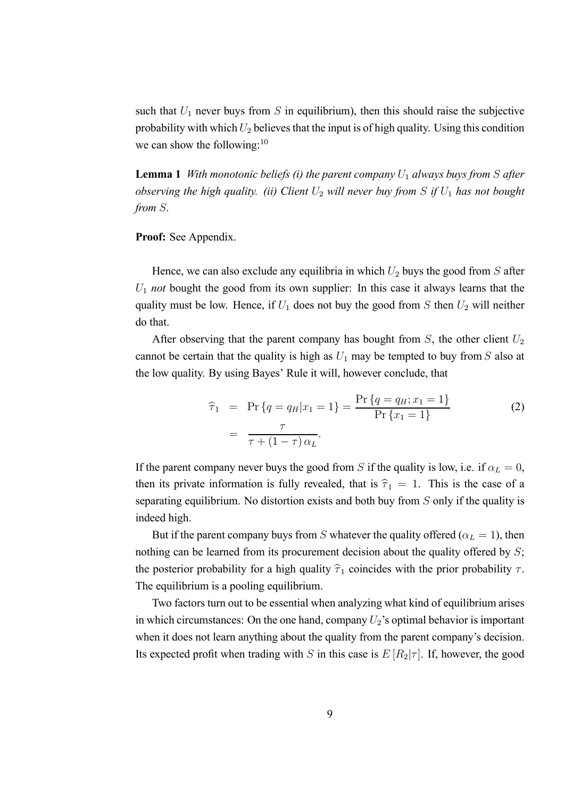such that  $U_1$  never buys from S in equilibrium), then this should raise the subjective probability with which  $U_2$  believes that the input is of high quality. Using this condition we can show the following: $10$ 

**Lemma 1** *With monotonic beliefs (i) the parent company*  $U_1$  *always buys from* S *after observing the high quality. (ii) Client*  $U_2$  *will never buy from* S *if*  $U_1$  *has not bought from* S*.*

#### **Proof:** See Appendix.

Hence, we can also exclude any equilibria in which  $U_2$  buys the good from S after U<sup>1</sup> *not* bought the good from its own supplier: In this case it always learns that the quality must be low. Hence, if  $U_1$  does not buy the good from S then  $U_2$  will neither do that.

After observing that the parent company has bought from  $S$ , the other client  $U_2$ cannot be certain that the quality is high as  $U_1$  may be tempted to buy from S also at the low quality. By using Bayes' Rule it will, however conclude, that

$$
\hat{\tau}_1 = \Pr \{ q = q_H | x_1 = 1 \} = \frac{\Pr \{ q = q_H; x_1 = 1 \}}{\Pr \{ x_1 = 1 \}}
$$
\n
$$
= \frac{\tau}{\tau + (1 - \tau) \alpha_L}.
$$
\n(2)

If the parent company never buys the good from S if the quality is low, i.e. if  $\alpha_L = 0$ , then its private information is fully revealed, that is  $\hat{\tau}_1 = 1$ . This is the case of a separating equilibrium. No distortion exists and both buy from S only if the quality is indeed high.

But if the parent company buys from S whatever the quality offered ( $\alpha_L = 1$ ), then nothing can be learned from its procurement decision about the quality offered by  $S$ ; the posterior probability for a high quality  $\hat{\tau}_1$  coincides with the prior probability  $\tau$ . The equilibrium is a pooling equilibrium.

Two factors turn out to be essential when analyzing what kind of equilibrium arises in which circumstances: On the one hand, company  $U_2$ 's optimal behavior is important when it does not learn anything about the quality from the parent company's decision. Its expected profit when trading with S in this case is  $E[R_2|\tau]$ . If, however, the good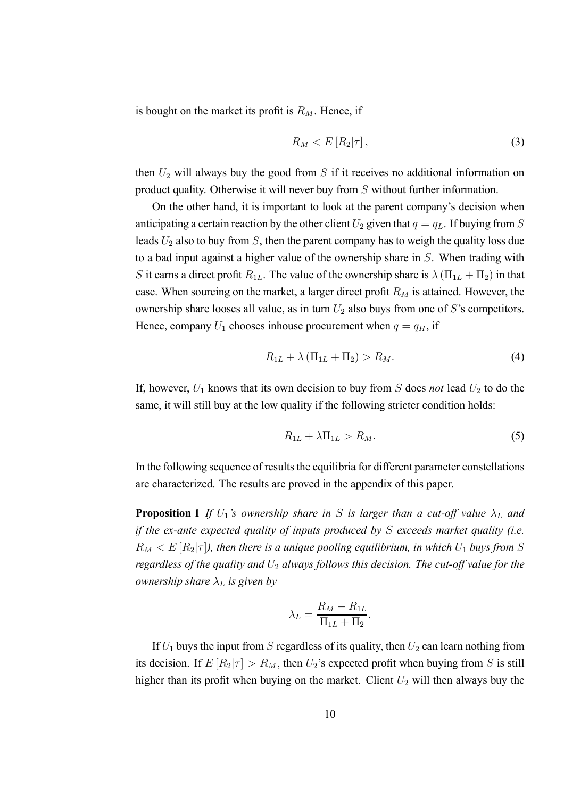is bought on the market its profit is  $R_M$ . Hence, if

$$
R_M < E\left[R_2|\tau\right],\tag{3}
$$

then  $U_2$  will always buy the good from S if it receives no additional information on product quality. Otherwise it will never buy from S without further information.

On the other hand, it is important to look at the parent company's decision when anticipating a certain reaction by the other client  $U_2$  given that  $q = q_L$ . If buying from S leads  $U_2$  also to buy from  $S$ , then the parent company has to weigh the quality loss due to a bad input against a higher value of the ownership share in S. When trading with S it earns a direct profit  $R_{1L}$ . The value of the ownership share is  $\lambda (\Pi_{1L} + \Pi_2)$  in that case. When sourcing on the market, a larger direct profit  $R_M$  is attained. However, the ownership share looses all value, as in turn  $U_2$  also buys from one of S's competitors. Hence, company  $U_1$  chooses inhouse procurement when  $q = q_H$ , if

$$
R_{1L} + \lambda \left( \Pi_{1L} + \Pi_2 \right) > R_M. \tag{4}
$$

If, however,  $U_1$  knows that its own decision to buy from  $S$  does *not* lead  $U_2$  to do the same, it will still buy at the low quality if the following stricter condition holds:

$$
R_{1L} + \lambda \Pi_{1L} > R_M. \tag{5}
$$

In the following sequence of results the equilibria for different parameter constellations are characterized. The results are proved in the appendix of this paper.

**Proposition 1** *If*  $U_1$ *'s ownership share in S is larger than a cut-off value*  $\lambda_L$  *and if the ex-ante expected quality of inputs produced by* S *exceeds market quality (i.e.*  $R_M < E[R_2|\tau]$ , then there is a unique pooling equilibrium, in which  $U_1$  buys from S *regardless of the quality and*  $U_2$  *always follows this decision. The cut-off value for the ownership share*  $\lambda_L$  *is given by* 

$$
\lambda_L = \frac{R_M - R_{1L}}{\Pi_{1L} + \Pi_2}.
$$

If  $U_1$  buys the input from S regardless of its quality, then  $U_2$  can learn nothing from its decision. If  $E[R_2|\tau] > R_M$ , then  $U_2$ 's expected profit when buying from S is still higher than its profit when buying on the market. Client  $U_2$  will then always buy the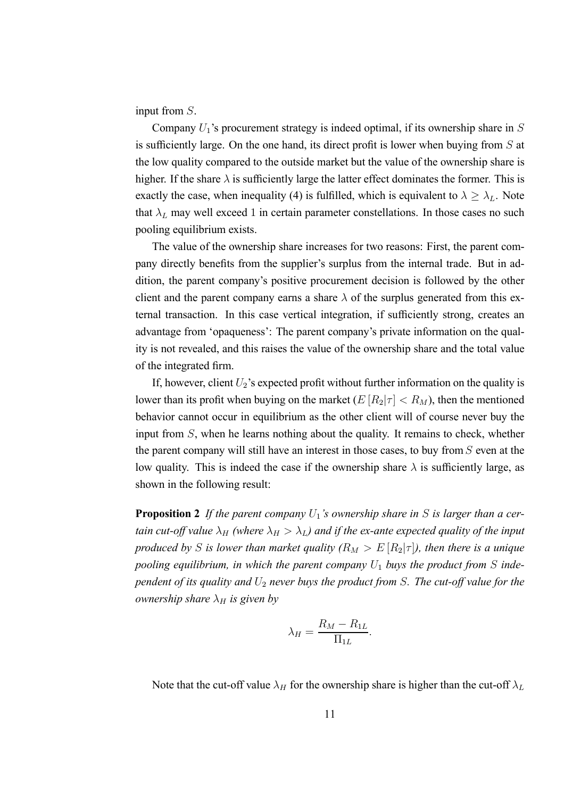input from S.

Company  $U_1$ 's procurement strategy is indeed optimal, if its ownership share in  $S$ is sufficiently large. On the one hand, its direct profit is lower when buying from S at the low quality compared to the outside market but the value of the ownership share is higher. If the share  $\lambda$  is sufficiently large the latter effect dominates the former. This is exactly the case, when inequality (4) is fulfilled, which is equivalent to  $\lambda \geq \lambda_L$ . Note that  $\lambda_L$  may well exceed 1 in certain parameter constellations. In those cases no such pooling equilibrium exists.

The value of the ownership share increases for two reasons: First, the parent company directly benefits from the supplier's surplus from the internal trade. But in addition, the parent company's positive procurement decision is followed by the other client and the parent company earns a share  $\lambda$  of the surplus generated from this external transaction. In this case vertical integration, if sufficiently strong, creates an advantage from 'opaqueness': The parent company's private information on the quality is not revealed, and this raises the value of the ownership share and the total value of the integrated firm.

If, however, client  $U_2$ 's expected profit without further information on the quality is lower than its profit when buying on the market  $(E[R_2|\tau] < R_M)$ , then the mentioned behavior cannot occur in equilibrium as the other client will of course never buy the input from S, when he learns nothing about the quality. It remains to check, whether the parent company will still have an interest in those cases, to buy from  $S$  even at the low quality. This is indeed the case if the ownership share  $\lambda$  is sufficiently large, as shown in the following result:

**Proposition 2** If the parent company  $U_1$ 's ownership share in S is larger than a cer*tain cut-off value*  $\lambda_H$  *(where*  $\lambda_H > \lambda_L$ *) and if the ex-ante expected quality of the input produced by S is lower than market quality*  $(R_M > E[R_2|\tau])$ , then there is a unique *pooling equilibrium, in which the parent company*  $U_1$  *buys the product from* S *independent of its quality and*  $U_2$  *never buys the product from S. The cut-off value for the ownership share*  $\lambda_H$  *is given by* 

$$
\lambda_H = \frac{R_M - R_{1L}}{\Pi_{1L}}.
$$

Note that the cut-off value  $\lambda_H$  for the ownership share is higher than the cut-off  $\lambda_L$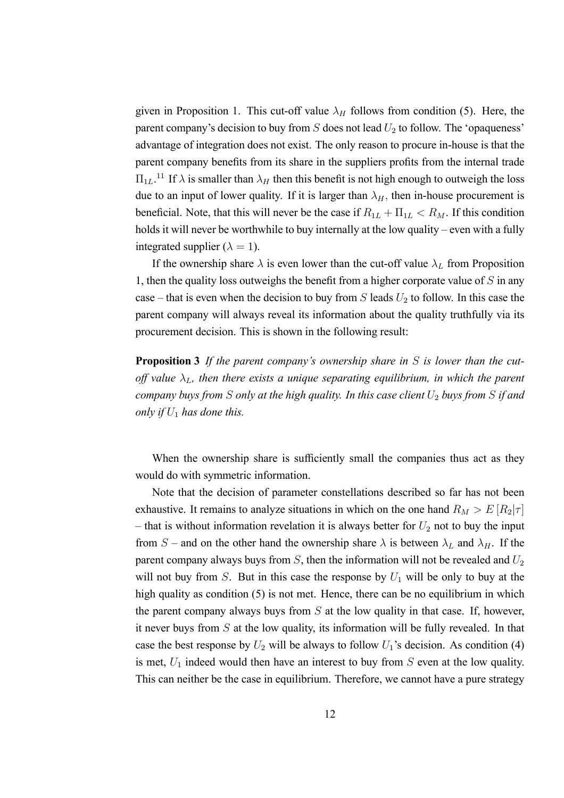given in Proposition 1. This cut-off value  $\lambda_H$  follows from condition (5). Here, the parent company's decision to buy from  $S$  does not lead  $U_2$  to follow. The 'opaqueness' advantage of integration does not exist. The only reason to procure in-house is that the parent company benefits from its share in the suppliers profits from the internal trade  $\Pi_{1L}$ .<sup>11</sup> If  $\lambda$  is smaller than  $\lambda_H$  then this benefit is not high enough to outweigh the loss due to an input of lower quality. If it is larger than  $\lambda_H$ , then in-house procurement is beneficial. Note, that this will never be the case if  $R_{1L} + \Pi_{1L} < R_M$ . If this condition holds it will never be worthwhile to buy internally at the low quality – even with a fully integrated supplier ( $\lambda = 1$ ).

If the ownership share  $\lambda$  is even lower than the cut-off value  $\lambda_L$  from Proposition 1, then the quality loss outweighs the benefit from a higher corporate value of  $S$  in any case – that is even when the decision to buy from  $S$  leads  $U_2$  to follow. In this case the parent company will always reveal its information about the quality truthfully via its procurement decision. This is shown in the following result:

**Proposition 3** *If the parent company's ownership share in* S *is lower than the cutoff value*  $\lambda_L$ , then there exists a unique separating equilibrium, in which the parent *company buys from S only at the high quality. In this case client*  $U_2$  *buys from S if and only if*  $U_1$  *has done this.* 

When the ownership share is sufficiently small the companies thus act as they would do with symmetric information.

Note that the decision of parameter constellations described so far has not been exhaustive. It remains to analyze situations in which on the one hand  $R_M > E[R_2|\tau]$ – that is without information revelation it is always better for  $U_2$  not to buy the input from S – and on the other hand the ownership share  $\lambda$  is between  $\lambda_L$  and  $\lambda_H$ . If the parent company always buys from  $S$ , then the information will not be revealed and  $U_2$ will not buy from S. But in this case the response by  $U_1$  will be only to buy at the high quality as condition (5) is not met. Hence, there can be no equilibrium in which the parent company always buys from  $S$  at the low quality in that case. If, however, it never buys from S at the low quality, its information will be fully revealed. In that case the best response by  $U_2$  will be always to follow  $U_1$ 's decision. As condition (4) is met,  $U_1$  indeed would then have an interest to buy from  $S$  even at the low quality. This can neither be the case in equilibrium. Therefore, we cannot have a pure strategy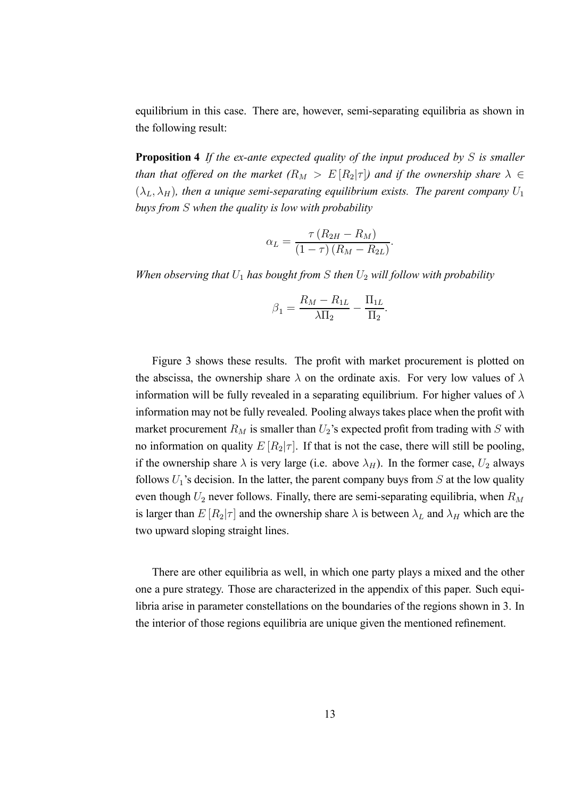equilibrium in this case. There are, however, semi-separating equilibria as shown in the following result:

**Proposition 4** *If the ex-ante expected quality of the input produced by* S *is smaller than that offered on the market*  $(R_M > E[R_2|\tau])$  *and if the ownership share*  $\lambda \in$  $(\lambda_L, \lambda_H)$ , then a unique semi-separating equilibrium exists. The parent company  $U_1$ *buys from* S *when the quality is low with probability*

$$
\alpha_L = \frac{\tau (R_{2H} - R_M)}{(1 - \tau) (R_M - R_{2L})}
$$

.

.

*When observing that*  $U_1$  *has bought from*  $S$  *then*  $U_2$  *will follow with probability* 

$$
\beta_1 = \frac{R_M-R_{1L}}{\lambda \Pi_2} - \frac{\Pi_{1L}}{\Pi_2}
$$

Figure 3 shows these results. The profit with market procurement is plotted on the abscissa, the ownership share  $\lambda$  on the ordinate axis. For very low values of  $\lambda$ information will be fully revealed in a separating equilibrium. For higher values of  $\lambda$ information may not be fully revealed. Pooling always takes place when the profit with market procurement  $R_M$  is smaller than  $U_2$ 's expected profit from trading with S with no information on quality  $E[R_2|\tau]$ . If that is not the case, there will still be pooling, if the ownership share  $\lambda$  is very large (i.e. above  $\lambda_H$ ). In the former case,  $U_2$  always follows  $U_1$ 's decision. In the latter, the parent company buys from  $S$  at the low quality even though  $U_2$  never follows. Finally, there are semi-separating equilibria, when  $R_M$ is larger than  $E[R_2|\tau]$  and the ownership share  $\lambda$  is between  $\lambda_L$  and  $\lambda_H$  which are the two upward sloping straight lines.

There are other equilibria as well, in which one party plays a mixed and the other one a pure strategy. Those are characterized in the appendix of this paper. Such equilibria arise in parameter constellations on the boundaries of the regions shown in 3. In the interior of those regions equilibria are unique given the mentioned refinement.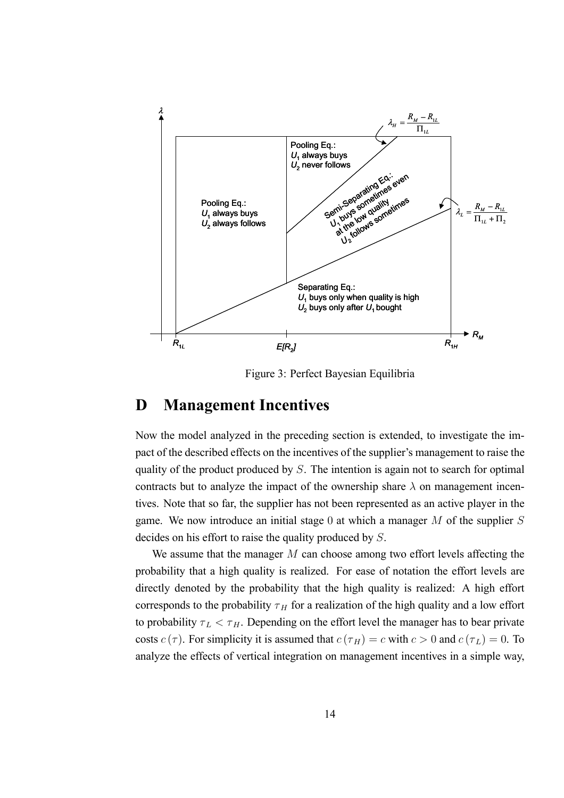

Figure 3: Perfect Bayesian Equilibria

# **D Management Incentives**

Now the model analyzed in the preceding section is extended, to investigate the impact of the described effects on the incentives of the supplier's management to raise the quality of the product produced by S. The intention is again not to search for optimal contracts but to analyze the impact of the ownership share  $\lambda$  on management incentives. Note that so far, the supplier has not been represented as an active player in the game. We now introduce an initial stage 0 at which a manager  $M$  of the supplier  $S$ decides on his effort to raise the quality produced by S.

We assume that the manager M can choose among two effort levels affecting the probability that a high quality is realized. For ease of notation the effort levels are directly denoted by the probability that the high quality is realized: A high effort corresponds to the probability  $\tau_H$  for a realization of the high quality and a low effort to probability  $\tau_L < \tau_H$ . Depending on the effort level the manager has to bear private costs  $c(\tau)$ . For simplicity it is assumed that  $c(\tau_H)=c$  with  $c>0$  and  $c(\tau_L)=0$ . To analyze the effects of vertical integration on management incentives in a simple way,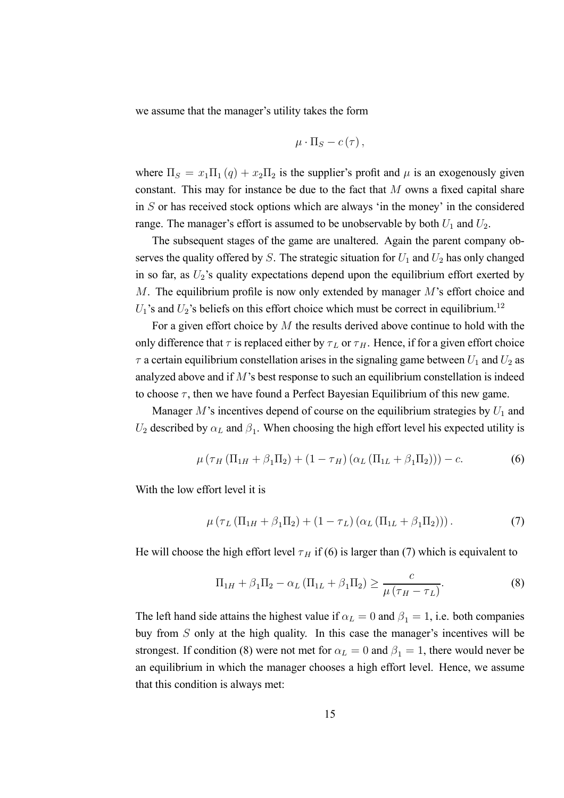we assume that the manager's utility takes the form

$$
\mu \cdot \Pi_S - c(\tau) \,,
$$

where  $\Pi_S = x_1 \Pi_1 (q) + x_2 \Pi_2$  is the supplier's profit and  $\mu$  is an exogenously given constant. This may for instance be due to the fact that  $M$  owns a fixed capital share in  $S$  or has received stock options which are always 'in the money' in the considered range. The manager's effort is assumed to be unobservable by both  $U_1$  and  $U_2$ .

The subsequent stages of the game are unaltered. Again the parent company observes the quality offered by  $S$ . The strategic situation for  $U_1$  and  $U_2$  has only changed in so far, as  $U_2$ 's quality expectations depend upon the equilibrium effort exerted by M. The equilibrium profile is now only extended by manager M's effort choice and  $U_1$ 's and  $U_2$ 's beliefs on this effort choice which must be correct in equilibrium.<sup>12</sup>

For a given effort choice by  $M$  the results derived above continue to hold with the only difference that  $\tau$  is replaced either by  $\tau_L$  or  $\tau_H$ . Hence, if for a given effort choice  $\tau$  a certain equilibrium constellation arises in the signaling game between  $U_1$  and  $U_2$  as analyzed above and if M's best response to such an equilibrium constellation is indeed to choose  $\tau$ , then we have found a Perfect Bayesian Equilibrium of this new game.

Manager  $M$ 's incentives depend of course on the equilibrium strategies by  $U_1$  and  $U_2$  described by  $\alpha_L$  and  $\beta_1$ . When choosing the high effort level his expected utility is

$$
\mu (\tau_H (\Pi_{1H} + \beta_1 \Pi_2) + (1 - \tau_H) (\alpha_L (\Pi_{1L} + \beta_1 \Pi_2))) - c.
$$
 (6)

With the low effort level it is

$$
\mu \left( \tau_L \left( \Pi_{1H} + \beta_1 \Pi_2 \right) + \left( 1 - \tau_L \right) \left( \alpha_L \left( \Pi_{1L} + \beta_1 \Pi_2 \right) \right) \right). \tag{7}
$$

He will choose the high effort level  $\tau_H$  if (6) is larger than (7) which is equivalent to

$$
\Pi_{1H} + \beta_1 \Pi_2 - \alpha_L (\Pi_{1L} + \beta_1 \Pi_2) \ge \frac{c}{\mu (\tau_H - \tau_L)}.
$$
\n(8)

The left hand side attains the highest value if  $\alpha_L = 0$  and  $\beta_1 = 1$ , i.e. both companies buy from S only at the high quality. In this case the manager's incentives will be strongest. If condition (8) were not met for  $\alpha_L = 0$  and  $\beta_1 = 1$ , there would never be an equilibrium in which the manager chooses a high effort level. Hence, we assume that this condition is always met: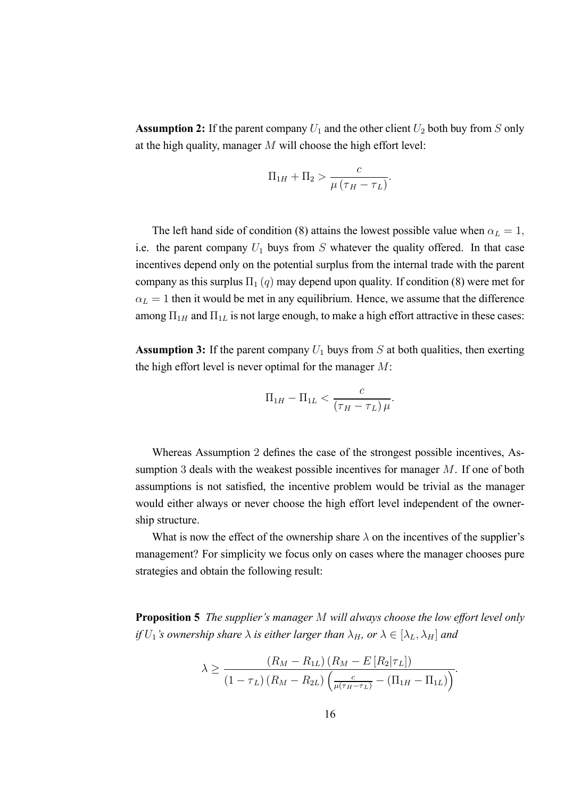**Assumption 2:** If the parent company  $U_1$  and the other client  $U_2$  both buy from S only at the high quality, manager M will choose the high effort level:

$$
\Pi_{1H} + \Pi_2 > \frac{c}{\mu(\tau_H - \tau_L)}.
$$

The left hand side of condition (8) attains the lowest possible value when  $\alpha_L = 1$ , i.e. the parent company  $U_1$  buys from S whatever the quality offered. In that case incentives depend only on the potential surplus from the internal trade with the parent company as this surplus  $\Pi_1(q)$  may depend upon quality. If condition (8) were met for  $\alpha_L = 1$  then it would be met in any equilibrium. Hence, we assume that the difference among  $\Pi_{1H}$  and  $\Pi_{1L}$  is not large enough, to make a high effort attractive in these cases:

**Assumption 3:** If the parent company  $U_1$  buys from S at both qualities, then exerting the high effort level is never optimal for the manager  $M$ :

$$
\Pi_{1H} - \Pi_{1L} < \frac{c}{\left(\tau_H - \tau_L\right)\mu}.
$$

Whereas Assumption 2 defines the case of the strongest possible incentives, Assumption 3 deals with the weakest possible incentives for manager M. If one of both assumptions is not satisfied, the incentive problem would be trivial as the manager would either always or never choose the high effort level independent of the ownership structure.

What is now the effect of the ownership share  $\lambda$  on the incentives of the supplier's management? For simplicity we focus only on cases where the manager chooses pure strategies and obtain the following result:

**Proposition 5** *The supplier's manager* M *will always choose the low effort level only if*  $U_1$ *'s ownership share*  $\lambda$  *is either larger than*  $\lambda_H$ *, or*  $\lambda \in [\lambda_L, \lambda_H]$  *and* 

$$
\lambda \geq \frac{(R_M - R_{1L}) (R_M - E[R_2|\tau_L])}{(1 - \tau_L) (R_M - R_{2L}) \left(\frac{c}{\mu(\tau_H - \tau_L)} - (\Pi_{1H} - \Pi_{1L})\right)}.
$$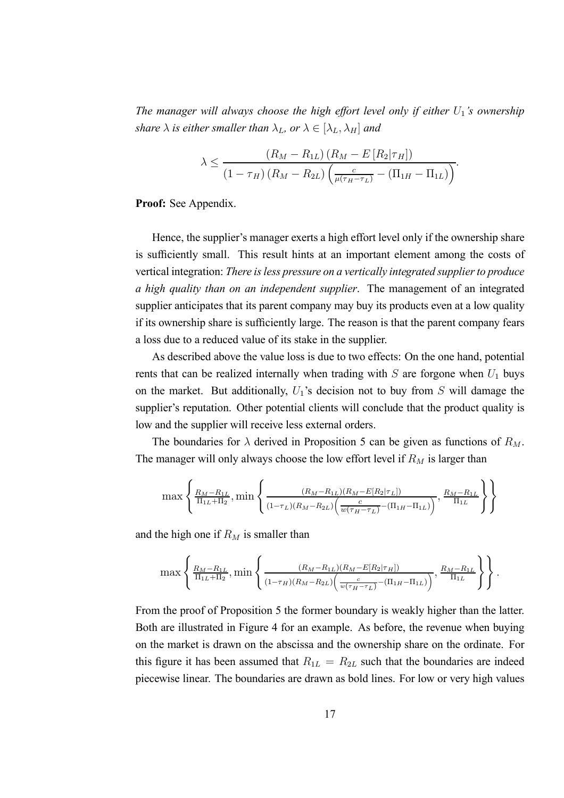*The manager will always choose the high effort level only if either*  $U_1$ *'s ownership share*  $\lambda$  *is either smaller than*  $\lambda_L$ *, or*  $\lambda \in [\lambda_L, \lambda_H]$  *and* 

$$
\lambda \leq \frac{(R_M - R_{1L}) (R_M - E[R_2|\tau_H])}{(1 - \tau_H) (R_M - R_{2L}) \left(\frac{c}{\mu(\tau_H - \tau_L)} - (\Pi_{1H} - \Pi_{1L})\right)}.
$$

**Proof:** See Appendix.

Hence, the supplier's manager exerts a high effort level only if the ownership share is sufficiently small. This result hints at an important element among the costs of vertical integration: *There is less pressure on a vertically integrated supplier to produce a high quality than on an independent supplier*. The management of an integrated supplier anticipates that its parent company may buy its products even at a low quality if its ownership share is sufficiently large. The reason is that the parent company fears a loss due to a reduced value of its stake in the supplier.

As described above the value loss is due to two effects: On the one hand, potential rents that can be realized internally when trading with  $S$  are forgone when  $U_1$  buys on the market. But additionally,  $U_1$ 's decision not to buy from  $S$  will damage the supplier's reputation. Other potential clients will conclude that the product quality is low and the supplier will receive less external orders.

The boundaries for  $\lambda$  derived in Proposition 5 can be given as functions of  $R_M$ . The manager will only always choose the low effort level if  $R_M$  is larger than

$$
\max\left\{\frac{R_M - R_{1L}}{\Pi_{1L} + \Pi_2}, \min\left\{\frac{(R_M - R_{1L})(R_M - E[R_2|\tau_L])}{(1 - \tau_L)(R_M - R_{2L})\left(\frac{c}{w(\tau_H - \tau_L)} - (\Pi_{1H} - \Pi_{1L})\right)}, \frac{R_M - R_{1L}}{\Pi_{1L}}\right\}\right\}
$$

and the high one if  $R_M$  is smaller than

$$
\max \left\{ \frac{R_M - R_{1L}}{\Pi_{1L} + \Pi_2}, \min \left\{ \frac{(R_M - R_{1L})(R_M - E[R_2|\tau_H])}{(1 - \tau_H)(R_M - R_{2L}) \left(\frac{c}{w(\tau_H - \tau_L)} - (\Pi_{1H} - \Pi_{1L})\right)}, \frac{R_M - R_{1L}}{\Pi_{1L}} \right\} \right\}.
$$

From the proof of Proposition 5 the former boundary is weakly higher than the latter. Both are illustrated in Figure 4 for an example. As before, the revenue when buying on the market is drawn on the abscissa and the ownership share on the ordinate. For this figure it has been assumed that  $R_{1L} = R_{2L}$  such that the boundaries are indeed piecewise linear. The boundaries are drawn as bold lines. For low or very high values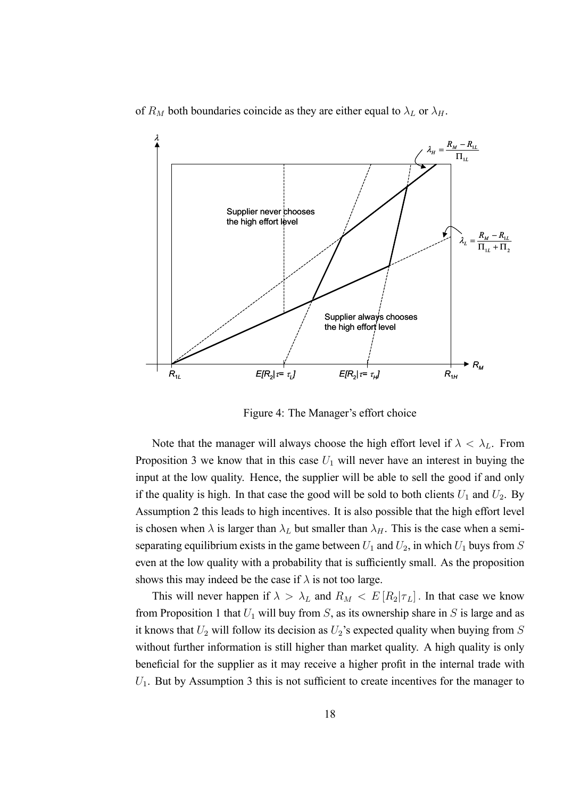of  $R_M$  both boundaries coincide as they are either equal to  $\lambda_L$  or  $\lambda_H$ .



Figure 4: The Manager's effort choice

Note that the manager will always choose the high effort level if  $\lambda < \lambda_L$ . From Proposition 3 we know that in this case  $U_1$  will never have an interest in buying the input at the low quality. Hence, the supplier will be able to sell the good if and only if the quality is high. In that case the good will be sold to both clients  $U_1$  and  $U_2$ . By Assumption 2 this leads to high incentives. It is also possible that the high effort level is chosen when  $\lambda$  is larger than  $\lambda_L$  but smaller than  $\lambda_H$ . This is the case when a semiseparating equilibrium exists in the game between  $U_1$  and  $U_2$ , in which  $U_1$  buys from S even at the low quality with a probability that is sufficiently small. As the proposition shows this may indeed be the case if  $\lambda$  is not too large.

This will never happen if  $\lambda > \lambda_L$  and  $R_M < E[R_2|\tau_L]$ . In that case we know from Proposition 1 that  $U_1$  will buy from S, as its ownership share in S is large and as it knows that  $U_2$  will follow its decision as  $U_2$ 's expected quality when buying from  $S$ without further information is still higher than market quality. A high quality is only beneficial for the supplier as it may receive a higher profit in the internal trade with  $U_1$ . But by Assumption 3 this is not sufficient to create incentives for the manager to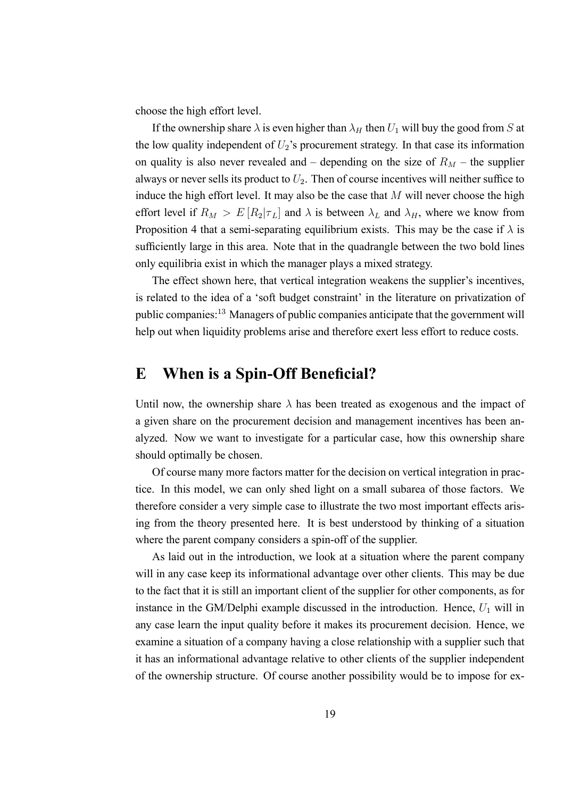choose the high effort level.

If the ownership share  $\lambda$  is even higher than  $\lambda_H$  then  $U_1$  will buy the good from S at the low quality independent of  $U_2$ 's procurement strategy. In that case its information on quality is also never revealed and – depending on the size of  $R_M$  – the supplier always or never sells its product to  $U_2$ . Then of course incentives will neither suffice to induce the high effort level. It may also be the case that  $M$  will never choose the high effort level if  $R_M > E[R_2|\tau_L]$  and  $\lambda$  is between  $\lambda_L$  and  $\lambda_H$ , where we know from Proposition 4 that a semi-separating equilibrium exists. This may be the case if  $\lambda$  is sufficiently large in this area. Note that in the quadrangle between the two bold lines only equilibria exist in which the manager plays a mixed strategy.

The effect shown here, that vertical integration weakens the supplier's incentives, is related to the idea of a 'soft budget constraint' in the literature on privatization of public companies:<sup>13</sup> Managers of public companies anticipate that the government will help out when liquidity problems arise and therefore exert less effort to reduce costs.

# **E When is a Spin-Off Beneficial?**

Until now, the ownership share  $\lambda$  has been treated as exogenous and the impact of a given share on the procurement decision and management incentives has been analyzed. Now we want to investigate for a particular case, how this ownership share should optimally be chosen.

Of course many more factors matter for the decision on vertical integration in practice. In this model, we can only shed light on a small subarea of those factors. We therefore consider a very simple case to illustrate the two most important effects arising from the theory presented here. It is best understood by thinking of a situation where the parent company considers a spin-off of the supplier.

As laid out in the introduction, we look at a situation where the parent company will in any case keep its informational advantage over other clients. This may be due to the fact that it is still an important client of the supplier for other components, as for instance in the GM/Delphi example discussed in the introduction. Hence,  $U_1$  will in any case learn the input quality before it makes its procurement decision. Hence, we examine a situation of a company having a close relationship with a supplier such that it has an informational advantage relative to other clients of the supplier independent of the ownership structure. Of course another possibility would be to impose for ex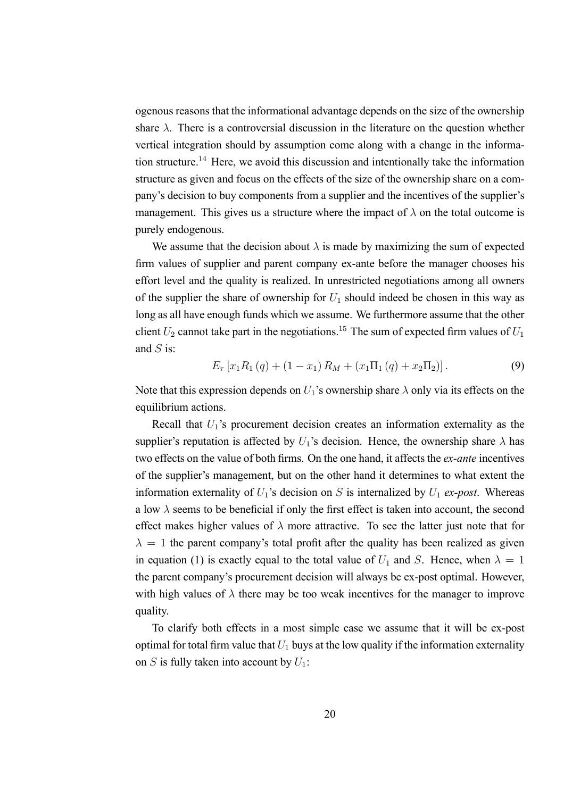ogenous reasons that the informational advantage depends on the size of the ownership share  $\lambda$ . There is a controversial discussion in the literature on the question whether vertical integration should by assumption come along with a change in the information structure.<sup>14</sup> Here, we avoid this discussion and intentionally take the information structure as given and focus on the effects of the size of the ownership share on a company's decision to buy components from a supplier and the incentives of the supplier's management. This gives us a structure where the impact of  $\lambda$  on the total outcome is purely endogenous.

We assume that the decision about  $\lambda$  is made by maximizing the sum of expected firm values of supplier and parent company ex-ante before the manager chooses his effort level and the quality is realized. In unrestricted negotiations among all owners of the supplier the share of ownership for  $U_1$  should indeed be chosen in this way as long as all have enough funds which we assume. We furthermore assume that the other client  $U_2$  cannot take part in the negotiations.<sup>15</sup> The sum of expected firm values of  $U_1$ and  $S$  is:

$$
E_{\tau}\left[x_{1}R_{1}\left(q\right)+\left(1-x_{1}\right)R_{M}+\left(x_{1}\Pi_{1}\left(q\right)+x_{2}\Pi_{2}\right)\right].
$$
 (9)

Note that this expression depends on  $U_1$ 's ownership share  $\lambda$  only via its effects on the equilibrium actions.

Recall that  $U_1$ 's procurement decision creates an information externality as the supplier's reputation is affected by  $U_1$ 's decision. Hence, the ownership share  $\lambda$  has two effects on the value of both firms. On the one hand, it affects the *ex-ante* incentives of the supplier's management, but on the other hand it determines to what extent the information externality of  $U_1$ 's decision on S is internalized by  $U_1$  *ex-post*. Whereas a low  $\lambda$  seems to be beneficial if only the first effect is taken into account, the second effect makes higher values of  $\lambda$  more attractive. To see the latter just note that for  $\lambda = 1$  the parent company's total profit after the quality has been realized as given in equation (1) is exactly equal to the total value of  $U_1$  and S. Hence, when  $\lambda = 1$ the parent company's procurement decision will always be ex-post optimal. However, with high values of  $\lambda$  there may be too weak incentives for the manager to improve quality.

To clarify both effects in a most simple case we assume that it will be ex-post optimal for total firm value that  $U_1$  buys at the low quality if the information externality on S is fully taken into account by  $U_1$ :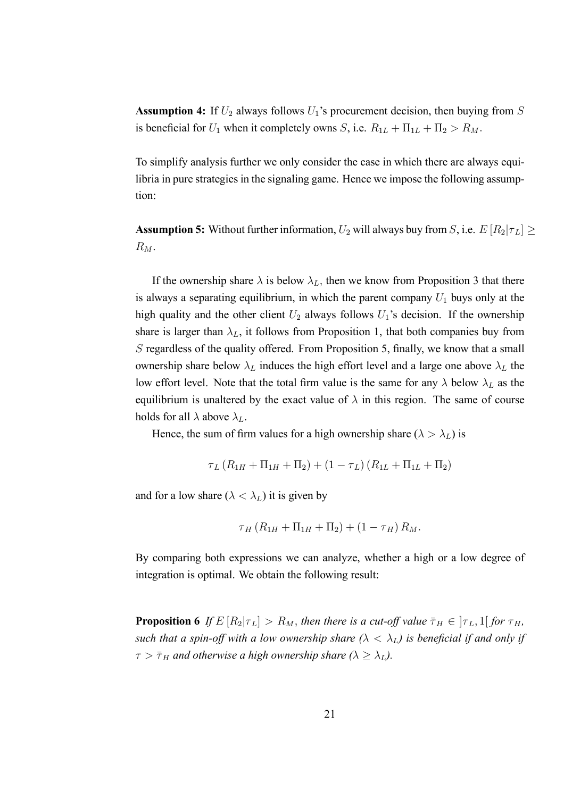**Assumption 4:** If  $U_2$  always follows  $U_1$ 's procurement decision, then buying from  $S$ is beneficial for  $U_1$  when it completely owns S, i.e.  $R_{1L} + \Pi_{1L} + \Pi_2 > R_M$ .

To simplify analysis further we only consider the case in which there are always equilibria in pure strategies in the signaling game. Hence we impose the following assumption:

**Assumption 5:** Without further information,  $U_2$  will always buy from S, i.e.  $E[R_2|\tau_L] \ge$  $R_M$ .

If the ownership share  $\lambda$  is below  $\lambda_L$ , then we know from Proposition 3 that there is always a separating equilibrium, in which the parent company  $U_1$  buys only at the high quality and the other client  $U_2$  always follows  $U_1$ 's decision. If the ownership share is larger than  $\lambda_L$ , it follows from Proposition 1, that both companies buy from S regardless of the quality offered. From Proposition 5, finally, we know that a small ownership share below  $\lambda_L$  induces the high effort level and a large one above  $\lambda_L$  the low effort level. Note that the total firm value is the same for any  $\lambda$  below  $\lambda_L$  as the equilibrium is unaltered by the exact value of  $\lambda$  in this region. The same of course holds for all  $\lambda$  above  $\lambda_L$ .

Hence, the sum of firm values for a high ownership share ( $\lambda > \lambda_L$ ) is

$$
\tau_L (R_{1H} + \Pi_{1H} + \Pi_2) + (1 - \tau_L) (R_{1L} + \Pi_{1L} + \Pi_2)
$$

and for a low share ( $\lambda < \lambda_L$ ) it is given by

$$
\tau_{H} (R_{1H} + \Pi_{1H} + \Pi_{2}) + (1 - \tau_{H}) R_{M}.
$$

By comparing both expressions we can analyze, whether a high or a low degree of integration is optimal. We obtain the following result:

**Proposition 6** *If*  $E[R_2|\tau_L] > R_M$ , *then there is a cut-off value*  $\bar{\tau}_H \in [\tau_L, 1]$  *for*  $\tau_H$ , *such that a spin-off with a low ownership share*  $(\lambda < \lambda_L)$  is beneficial if and only if  $\tau > \bar{\tau}_H$  *and otherwise a high ownership share (* $\lambda \geq \lambda_L$ ).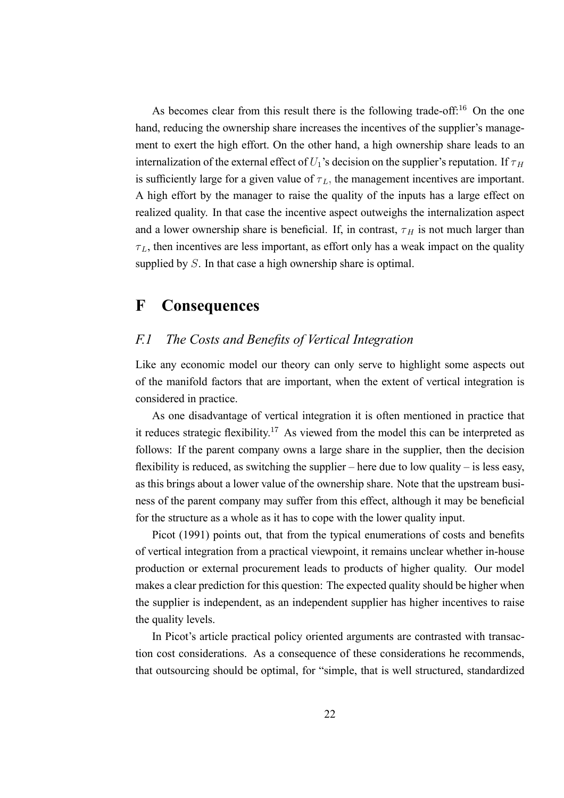As becomes clear from this result there is the following trade-off: $16$  On the one hand, reducing the ownership share increases the incentives of the supplier's management to exert the high effort. On the other hand, a high ownership share leads to an internalization of the external effect of  $U_1$ 's decision on the supplier's reputation. If  $\tau_H$ is sufficiently large for a given value of  $\tau_L$ , the management incentives are important. A high effort by the manager to raise the quality of the inputs has a large effect on realized quality. In that case the incentive aspect outweighs the internalization aspect and a lower ownership share is beneficial. If, in contrast,  $\tau$ <sub>H</sub> is not much larger than  $\tau_L$ , then incentives are less important, as effort only has a weak impact on the quality supplied by S. In that case a high ownership share is optimal.

## **F Consequences**

#### *F.1 The Costs and Benefits of Vertical Integration*

Like any economic model our theory can only serve to highlight some aspects out of the manifold factors that are important, when the extent of vertical integration is considered in practice.

As one disadvantage of vertical integration it is often mentioned in practice that it reduces strategic flexibility.<sup>17</sup> As viewed from the model this can be interpreted as follows: If the parent company owns a large share in the supplier, then the decision flexibility is reduced, as switching the supplier – here due to low quality – is less easy, as this brings about a lower value of the ownership share. Note that the upstream business of the parent company may suffer from this effect, although it may be beneficial for the structure as a whole as it has to cope with the lower quality input.

Picot (1991) points out, that from the typical enumerations of costs and benefits of vertical integration from a practical viewpoint, it remains unclear whether in-house production or external procurement leads to products of higher quality. Our model makes a clear prediction for this question: The expected quality should be higher when the supplier is independent, as an independent supplier has higher incentives to raise the quality levels.

In Picot's article practical policy oriented arguments are contrasted with transaction cost considerations. As a consequence of these considerations he recommends, that outsourcing should be optimal, for "simple, that is well structured, standardized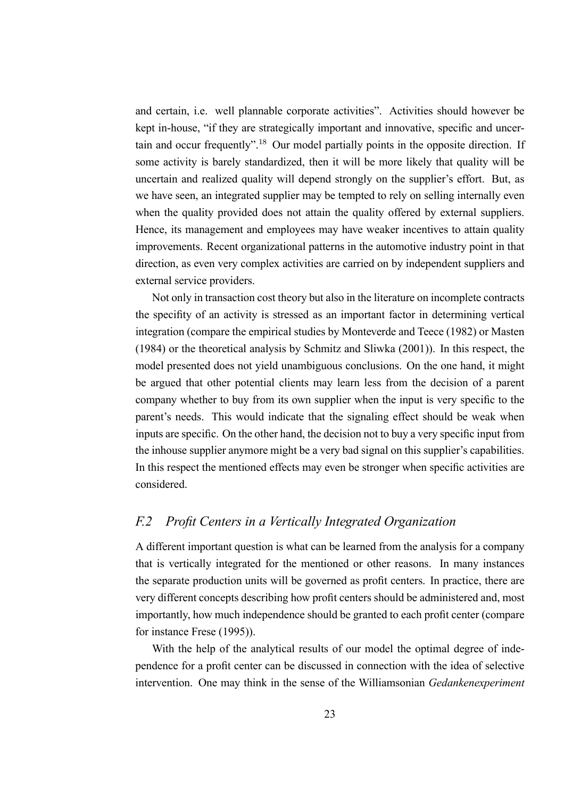and certain, i.e. well plannable corporate activities". Activities should however be kept in-house, "if they are strategically important and innovative, specific and uncertain and occur frequently".<sup>18</sup> Our model partially points in the opposite direction. If some activity is barely standardized, then it will be more likely that quality will be uncertain and realized quality will depend strongly on the supplier's effort. But, as we have seen, an integrated supplier may be tempted to rely on selling internally even when the quality provided does not attain the quality offered by external suppliers. Hence, its management and employees may have weaker incentives to attain quality improvements. Recent organizational patterns in the automotive industry point in that direction, as even very complex activities are carried on by independent suppliers and external service providers.

Not only in transaction cost theory but also in the literature on incomplete contracts the specifity of an activity is stressed as an important factor in determining vertical integration (compare the empirical studies by Monteverde and Teece (1982) or Masten (1984) or the theoretical analysis by Schmitz and Sliwka (2001)). In this respect, the model presented does not yield unambiguous conclusions. On the one hand, it might be argued that other potential clients may learn less from the decision of a parent company whether to buy from its own supplier when the input is very specific to the parent's needs. This would indicate that the signaling effect should be weak when inputs are specific. On the other hand, the decision not to buy a very specific input from the inhouse supplier anymore might be a very bad signal on this supplier's capabilities. In this respect the mentioned effects may even be stronger when specific activities are considered.

#### *F.2 Profit Centers in a Vertically Integrated Organization*

A different important question is what can be learned from the analysis for a company that is vertically integrated for the mentioned or other reasons. In many instances the separate production units will be governed as profit centers. In practice, there are very different concepts describing how profit centers should be administered and, most importantly, how much independence should be granted to each profit center (compare for instance Frese (1995)).

With the help of the analytical results of our model the optimal degree of independence for a profit center can be discussed in connection with the idea of selective intervention. One may think in the sense of the Williamsonian *Gedankenexperiment*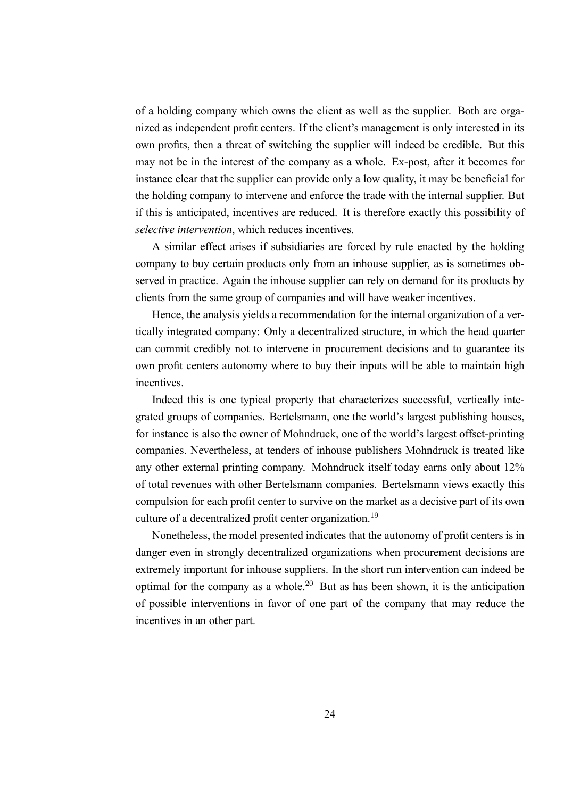of a holding company which owns the client as well as the supplier. Both are organized as independent profit centers. If the client's management is only interested in its own profits, then a threat of switching the supplier will indeed be credible. But this may not be in the interest of the company as a whole. Ex-post, after it becomes for instance clear that the supplier can provide only a low quality, it may be beneficial for the holding company to intervene and enforce the trade with the internal supplier. But if this is anticipated, incentives are reduced. It is therefore exactly this possibility of *selective intervention*, which reduces incentives.

A similar effect arises if subsidiaries are forced by rule enacted by the holding company to buy certain products only from an inhouse supplier, as is sometimes observed in practice. Again the inhouse supplier can rely on demand for its products by clients from the same group of companies and will have weaker incentives.

Hence, the analysis yields a recommendation for the internal organization of a vertically integrated company: Only a decentralized structure, in which the head quarter can commit credibly not to intervene in procurement decisions and to guarantee its own profit centers autonomy where to buy their inputs will be able to maintain high incentives.

Indeed this is one typical property that characterizes successful, vertically integrated groups of companies. Bertelsmann, one the world's largest publishing houses, for instance is also the owner of Mohndruck, one of the world's largest offset-printing companies. Nevertheless, at tenders of inhouse publishers Mohndruck is treated like any other external printing company. Mohndruck itself today earns only about 12% of total revenues with other Bertelsmann companies. Bertelsmann views exactly this compulsion for each profit center to survive on the market as a decisive part of its own culture of a decentralized profit center organization.<sup>19</sup>

Nonetheless, the model presented indicates that the autonomy of profit centers is in danger even in strongly decentralized organizations when procurement decisions are extremely important for inhouse suppliers. In the short run intervention can indeed be optimal for the company as a whole.<sup>20</sup> But as has been shown, it is the anticipation of possible interventions in favor of one part of the company that may reduce the incentives in an other part.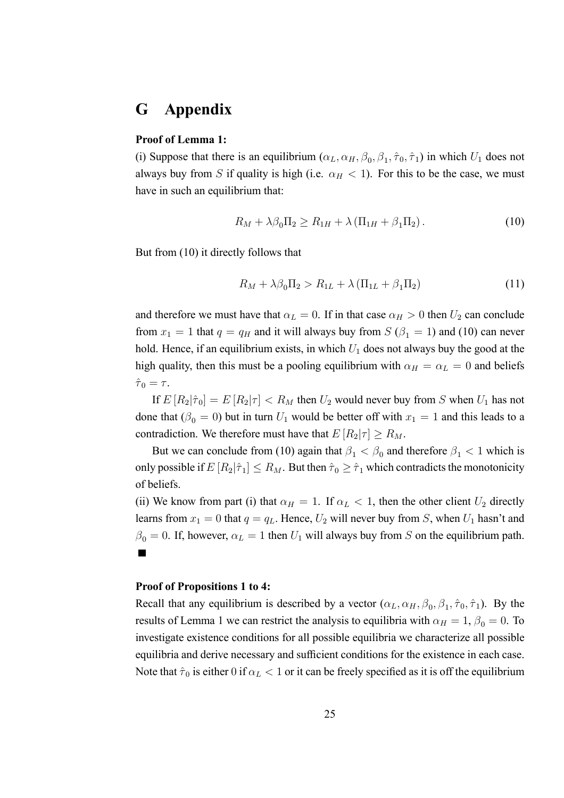# **G Appendix**

#### **Proof of Lemma 1:**

(i) Suppose that there is an equilibrium  $(\alpha_L, \alpha_H, \beta_0, \beta_1, \hat{\tau}_0, \hat{\tau}_1)$  in which  $U_1$  does not always buy from S if quality is high (i.e.  $\alpha_H < 1$ ). For this to be the case, we must have in such an equilibrium that:

$$
R_M + \lambda \beta_0 \Pi_2 \ge R_{1H} + \lambda \left( \Pi_{1H} + \beta_1 \Pi_2 \right). \tag{10}
$$

But from (10) it directly follows that

$$
R_M + \lambda \beta_0 \Pi_2 > R_{1L} + \lambda \left( \Pi_{1L} + \beta_1 \Pi_2 \right) \tag{11}
$$

and therefore we must have that  $\alpha_L = 0$ . If in that case  $\alpha_H > 0$  then  $U_2$  can conclude from  $x_1 = 1$  that  $q = q_H$  and it will always buy from  $S (\beta_1 = 1)$  and (10) can never hold. Hence, if an equilibrium exists, in which  $U_1$  does not always buy the good at the high quality, then this must be a pooling equilibrium with  $\alpha_H = \alpha_L = 0$  and beliefs  $\hat{\tau}_0 = \tau$ .

If  $E[R_2|\hat{\tau}_0] = E[R_2|\tau] < R_M$  then  $U_2$  would never buy from S when  $U_1$  has not done that  $(\beta_0 = 0)$  but in turn  $U_1$  would be better off with  $x_1 = 1$  and this leads to a contradiction. We therefore must have that  $E[R_2|\tau] \ge R_M$ .

But we can conclude from (10) again that  $\beta_1 < \beta_0$  and therefore  $\beta_1 < 1$  which is only possible if  $E[R_2|\hat{\tau}_1] \leq R_M$ . But then  $\hat{\tau}_0 \geq \hat{\tau}_1$  which contradicts the monotonicity of beliefs.

(ii) We know from part (i) that  $\alpha_H = 1$ . If  $\alpha_L < 1$ , then the other client  $U_2$  directly learns from  $x_1 = 0$  that  $q = q_L$ . Hence,  $U_2$  will never buy from S, when  $U_1$  hasn't and  $\beta_0 = 0$ . If, however,  $\alpha_L = 1$  then  $U_1$  will always buy from S on the equilibrium path.  $\blacksquare$ 

#### **Proof of Propositions 1 to 4:**

Recall that any equilibrium is described by a vector  $(\alpha_L, \alpha_H, \beta_0, \beta_1, \hat{\tau}_0, \hat{\tau}_1)$ . By the results of Lemma 1 we can restrict the analysis to equilibria with  $\alpha_H = 1$ ,  $\beta_0 = 0$ . To investigate existence conditions for all possible equilibria we characterize all possible equilibria and derive necessary and sufficient conditions for the existence in each case. Note that  $\hat{\tau}_0$  is either 0 if  $\alpha_L < 1$  or it can be freely specified as it is off the equilibrium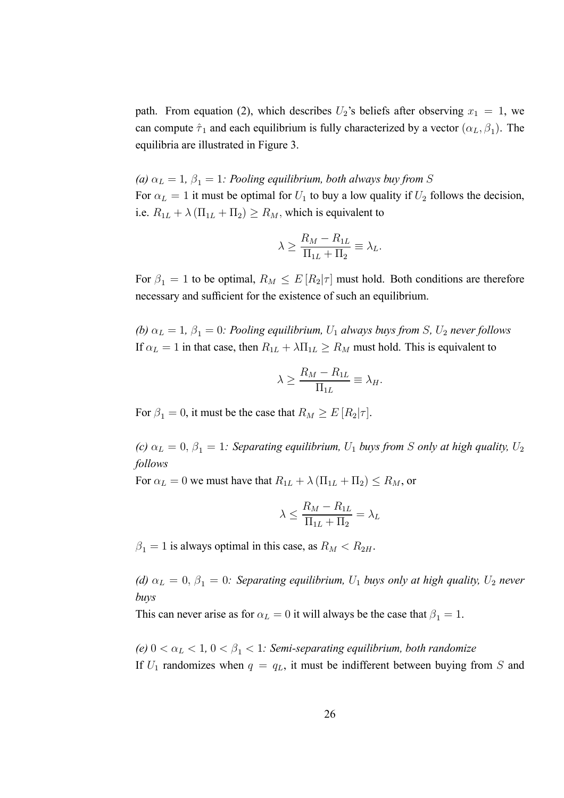path. From equation (2), which describes  $U_2$ 's beliefs after observing  $x_1 = 1$ , we can compute  $\hat{\tau}_1$  and each equilibrium is fully characterized by a vector  $(\alpha_L, \beta_1)$ . The equilibria are illustrated in Figure 3.

*(a)*  $\alpha_L = 1$ ,  $\beta_1 = 1$ *: Pooling equilibrium, both always buy from S* For  $\alpha_L = 1$  it must be optimal for  $U_1$  to buy a low quality if  $U_2$  follows the decision, i.e.  $R_{1L} + \lambda (\Pi_{1L} + \Pi_2) \ge R_M$ , which is equivalent to

$$
\lambda \ge \frac{R_M - R_{1L}}{\Pi_{1L} + \Pi_2} \equiv \lambda_L.
$$

For  $\beta_1 = 1$  to be optimal,  $R_M \leq E[R_2|\tau]$  must hold. Both conditions are therefore necessary and sufficient for the existence of such an equilibrium.

*(b)*  $\alpha_L = 1$ ,  $\beta_1 = 0$ *: Pooling equilibrium,*  $U_1$  *always buys from S*,  $U_2$  *never follows* If  $\alpha_L = 1$  in that case, then  $R_{1L} + \lambda \Pi_{1L} \ge R_M$  must hold. This is equivalent to

$$
\lambda \ge \frac{R_M - R_{1L}}{\Pi_{1L}} \equiv \lambda_H.
$$

For  $\beta_1 = 0$ , it must be the case that  $R_M \ge E[R_2|\tau]$ .

*(c)*  $\alpha_L = 0$ ,  $\beta_1 = 1$ *: Separating equilibrium,*  $U_1$  *buys from S only at high quality,*  $U_2$ *follows*

For  $\alpha_L = 0$  we must have that  $R_{1L} + \lambda (\Pi_{1L} + \Pi_2) \le R_M$ , or

$$
\lambda \le \frac{R_M - R_{1L}}{\Pi_{1L} + \Pi_2} = \lambda_L
$$

 $\beta_1 = 1$  is always optimal in this case, as  $R_M < R_{2H}$ .

*(d)*  $\alpha_L = 0$ ,  $\beta_1 = 0$ *: Separating equilibrium,*  $U_1$  *buys only at high quality,*  $U_2$  *never buys*

This can never arise as for  $\alpha_L = 0$  it will always be the case that  $\beta_1 = 1$ .

*(e)*  $0 < \alpha_L < 1$ ,  $0 < \beta_1 < 1$ *: Semi-separating equilibrium, both randomize* If  $U_1$  randomizes when  $q = q_L$ , it must be indifferent between buying from S and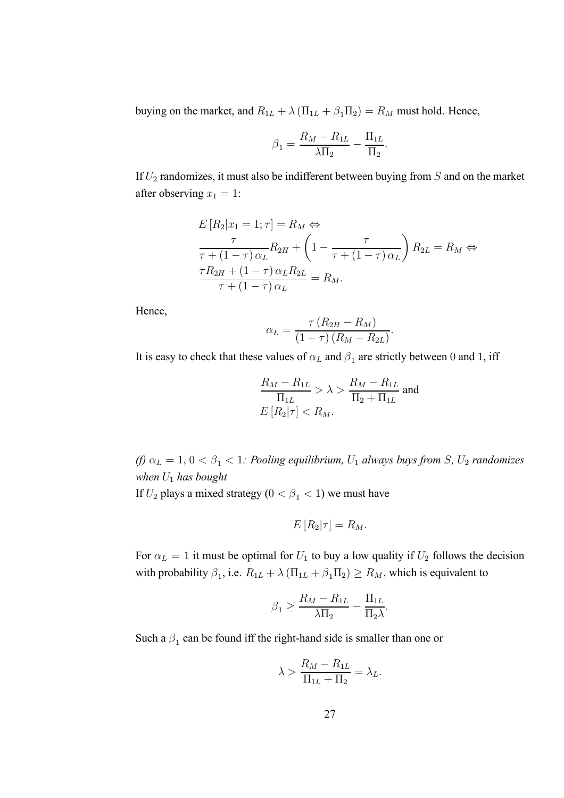buying on the market, and  $R_{1L} + \lambda (\Pi_{1L} + \beta_1 \Pi_2) = R_M$  must hold. Hence,

$$
\beta_1 = \frac{R_M - R_{1L}}{\lambda \Pi_2} - \frac{\Pi_{1L}}{\Pi_2}.
$$

If  $U_2$  randomizes, it must also be indifferent between buying from  $S$  and on the market after observing  $x_1 = 1$ :

$$
E[R_2|x_1 = 1; \tau] = R_M \Leftrightarrow
$$
  
\n
$$
\frac{\tau}{\tau + (1 - \tau)\alpha_L} R_{2H} + \left(1 - \frac{\tau}{\tau + (1 - \tau)\alpha_L}\right) R_{2L} = R_M \Leftrightarrow
$$
  
\n
$$
\frac{\tau R_{2H} + (1 - \tau)\alpha_L R_{2L}}{\tau + (1 - \tau)\alpha_L} = R_M.
$$

Hence,

$$
\alpha_L = \frac{\tau (R_{2H} - R_M)}{(1 - \tau) (R_M - R_{2L})}.
$$

It is easy to check that these values of  $\alpha_L$  and  $\beta_1$  are strictly between 0 and 1, iff

$$
\frac{R_M - R_{1L}}{\Pi_{1L}} > \lambda > \frac{R_M - R_{1L}}{\Pi_2 + \Pi_{1L}}
$$
 and  

$$
E[R_2|\tau] < R_M.
$$

*(f)*  $\alpha_L = 1, 0 < \beta_1 < 1$ *: Pooling equilibrium,*  $U_1$  *always buys from S,*  $U_2$  *randomizes when* U<sup>1</sup> *has bought*

If  $U_2$  plays a mixed strategy ( $0 < \beta_1 < 1$ ) we must have

$$
E[R_2|\tau] = R_M.
$$

For  $\alpha_L = 1$  it must be optimal for  $U_1$  to buy a low quality if  $U_2$  follows the decision with probability  $\beta_1$ , i.e.  $R_{1L} + \lambda (\Pi_{1L} + \beta_1 \Pi_2) \ge R_M$ , which is equivalent to

$$
\beta_1 \ge \frac{R_M - R_{1L}}{\lambda \Pi_2} - \frac{\Pi_{1L}}{\Pi_2 \lambda}.
$$

Such a  $\beta_1$  can be found iff the right-hand side is smaller than one or

$$
\lambda > \frac{R_M - R_{1L}}{\Pi_{1L} + \Pi_2} = \lambda_L.
$$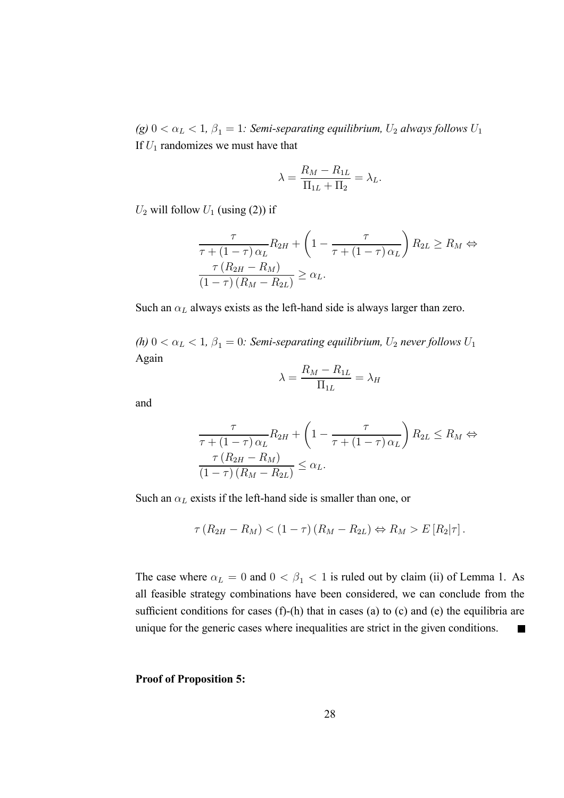*(g)*  $0 < \alpha_L < 1$ ,  $\beta_1 = 1$ *: Semi-separating equilibrium,*  $U_2$  *always follows*  $U_1$ If  $U_1$  randomizes we must have that

$$
\lambda = \frac{R_M - R_{1L}}{\Pi_{1L} + \Pi_2} = \lambda_L.
$$

 $U_2$  will follow  $U_1$  (using (2)) if

$$
\frac{\tau}{\tau + (1 - \tau)\alpha_L} R_{2H} + \left(1 - \frac{\tau}{\tau + (1 - \tau)\alpha_L}\right) R_{2L} \ge R_M \Leftrightarrow
$$

$$
\frac{\tau (R_{2H} - R_M)}{(1 - \tau)(R_M - R_{2L})} \ge \alpha_L.
$$

Such an  $\alpha_L$  always exists as the left-hand side is always larger than zero.

*(h)*  $0 < \alpha_L < 1$ ,  $\beta_1 = 0$ *: Semi-separating equilibrium,*  $U_2$  *never follows*  $U_1$ Again

$$
\lambda = \frac{R_M - R_{1L}}{\Pi_{1L}} = \lambda_H
$$

and

$$
\frac{\tau}{\tau + (1 - \tau)\alpha_L} R_{2H} + \left(1 - \frac{\tau}{\tau + (1 - \tau)\alpha_L}\right) R_{2L} \le R_M \Leftrightarrow
$$
  

$$
\frac{\tau (R_{2H} - R_M)}{(1 - \tau)(R_M - R_{2L})} \le \alpha_L.
$$

Such an  $\alpha_L$  exists if the left-hand side is smaller than one, or

$$
\tau (R_{2H} - R_M) < (1 - \tau) (R_M - R_{2L}) \Leftrightarrow R_M > E[R_2 | \tau].
$$

The case where  $\alpha_L = 0$  and  $0 < \beta_1 < 1$  is ruled out by claim (ii) of Lemma 1. As all feasible strategy combinations have been considered, we can conclude from the sufficient conditions for cases  $(f)$ - $(h)$  that in cases  $(a)$  to  $(c)$  and  $(e)$  the equilibria are unique for the generic cases where inequalities are strict in the given conditions.  $\blacksquare$ 

**Proof of Proposition 5:**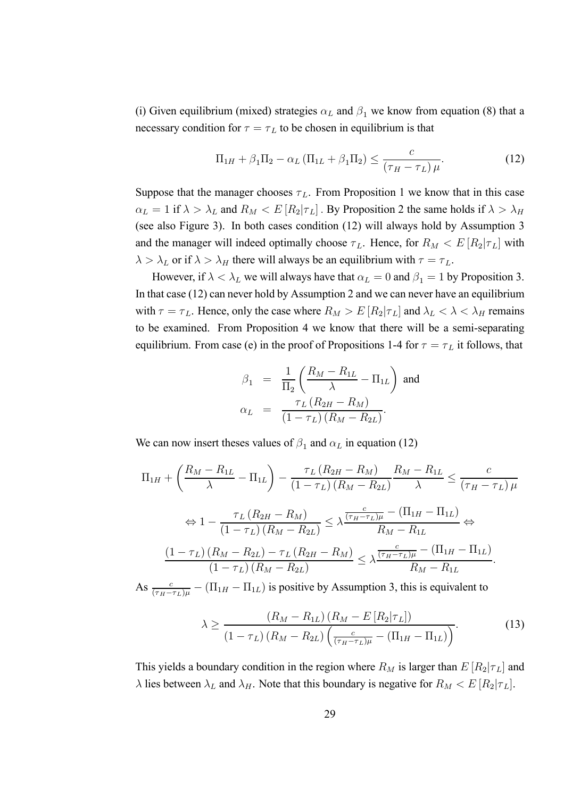(i) Given equilibrium (mixed) strategies  $\alpha_L$  and  $\beta_1$  we know from equation (8) that a necessary condition for  $\tau = \tau_L$  to be chosen in equilibrium is that

$$
\Pi_{1H} + \beta_1 \Pi_2 - \alpha_L \left( \Pi_{1L} + \beta_1 \Pi_2 \right) \le \frac{c}{\left( \tau_H - \tau_L \right) \mu}.
$$
\n(12)

Suppose that the manager chooses  $\tau_L$ . From Proposition 1 we know that in this case  $\alpha_L = 1$  if  $\lambda > \lambda_L$  and  $R_M < E[R_2 | \tau_L]$ . By Proposition 2 the same holds if  $\lambda > \lambda_H$ (see also Figure 3). In both cases condition (12) will always hold by Assumption 3 and the manager will indeed optimally choose  $\tau_L$ . Hence, for  $R_M < E[R_2|\tau_L]$  with  $\lambda > \lambda_L$  or if  $\lambda > \lambda_H$  there will always be an equilibrium with  $\tau = \tau_L$ .

However, if  $\lambda < \lambda_L$  we will always have that  $\alpha_L = 0$  and  $\beta_1 = 1$  by Proposition 3. In that case (12) can never hold by Assumption 2 and we can never have an equilibrium with  $\tau = \tau_L$ . Hence, only the case where  $R_M > E[R_2|\tau_L]$  and  $\lambda_L < \lambda < \lambda_H$  remains to be examined. From Proposition 4 we know that there will be a semi-separating equilibrium. From case (e) in the proof of Propositions 1-4 for  $\tau = \tau_L$  it follows, that

$$
\beta_1 = \frac{1}{\Pi_2} \left( \frac{R_M - R_{1L}}{\lambda} - \Pi_{1L} \right)
$$
 and  

$$
\alpha_L = \frac{\tau_L (R_{2H} - R_M)}{(1 - \tau_L)(R_M - R_{2L})}.
$$

We can now insert theses values of  $\beta_1$  and  $\alpha_L$  in equation (12)

$$
\Pi_{1H} + \left(\frac{R_M - R_{1L}}{\lambda} - \Pi_{1L}\right) - \frac{\tau_L \left(R_{2H} - R_M\right)}{\left(1 - \tau_L\right) \left(R_M - R_{2L}\right)} \frac{R_M - R_{1L}}{\lambda} \le \frac{c}{\left(\tau_H - \tau_L\right) \mu}
$$
\n
$$
\Leftrightarrow 1 - \frac{\tau_L \left(R_{2H} - R_M\right)}{\left(1 - \tau_L\right) \left(R_M - R_{2L}\right)} \le \lambda \frac{\frac{c}{\left(\tau_H - \tau_L\right) \mu} - \left(\Pi_{1H} - \Pi_{1L}\right)}{R_M - R_{1L}} \Leftrightarrow
$$
\n
$$
\frac{\left(1 - \tau_L\right) \left(R_M - R_{2L}\right) - \tau_L \left(R_{2H} - R_M\right)}{\left(1 - \tau_L\right) \left(R_M - R_{2L}\right)} \le \lambda \frac{\frac{c}{\left(\tau_H - \tau_L\right) \mu} - \left(\Pi_{1H} - \Pi_{1L}\right)}{R_M - R_{1L}}.
$$
\nSo,  $\frac{c}{\mu}$ ,  $\left(\Pi - \Pi\right)$  is positive by  $\lambda$  summation 3, this is equivalent to

As  $\frac{c}{(\tau_H-\tau_L)\mu} - (\Pi_{1H} - \Pi_{1L})$  is positive by Assumption 3, this is equivalent to

$$
\lambda \ge \frac{(R_M - R_{1L})(R_M - E[R_2|\tau_L])}{(1 - \tau_L)(R_M - R_{2L})\left(\frac{c}{(\tau_H - \tau_L)\mu} - (\Pi_{1H} - \Pi_{1L})\right)}.
$$
(13)

This yields a boundary condition in the region where  $R_M$  is larger than  $E[R_2|\tau_L]$  and  $\lambda$  lies between  $\lambda_L$  and  $\lambda_H$ . Note that this boundary is negative for  $R_M < E[R_2 | \tau_L]$ .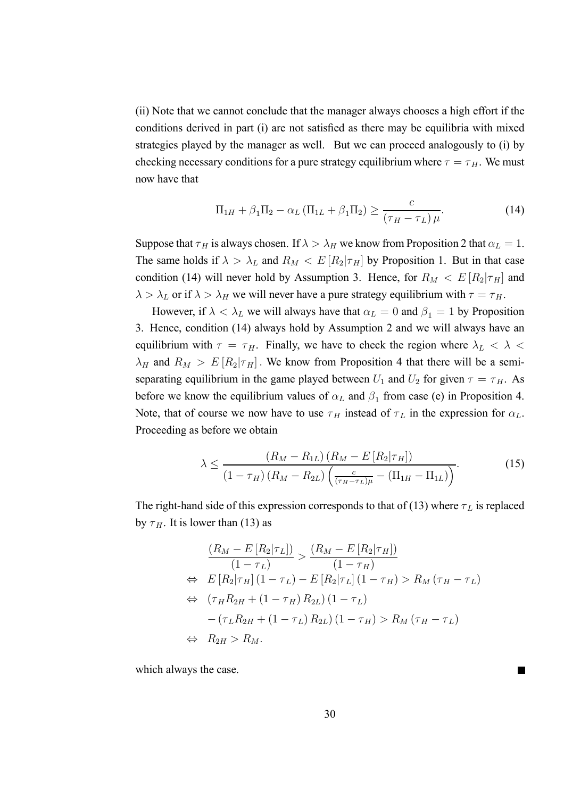(ii) Note that we cannot conclude that the manager always chooses a high effort if the conditions derived in part (i) are not satisfied as there may be equilibria with mixed strategies played by the manager as well. But we can proceed analogously to (i) by checking necessary conditions for a pure strategy equilibrium where  $\tau = \tau_H$ . We must now have that

$$
\Pi_{1H} + \beta_1 \Pi_2 - \alpha_L \left( \Pi_{1L} + \beta_1 \Pi_2 \right) \ge \frac{c}{\left( \tau_H - \tau_L \right) \mu}.
$$
\n(14)

Suppose that  $\tau_H$  is always chosen. If  $\lambda > \lambda_H$  we know from Proposition 2 that  $\alpha_L = 1$ . The same holds if  $\lambda > \lambda_L$  and  $R_M < E[R_2|\tau_H]$  by Proposition 1. But in that case condition (14) will never hold by Assumption 3. Hence, for  $R_M < E[R_2|\tau_H]$  and  $\lambda > \lambda_L$  or if  $\lambda > \lambda_H$  we will never have a pure strategy equilibrium with  $\tau = \tau_H$ .

However, if  $\lambda < \lambda_L$  we will always have that  $\alpha_L = 0$  and  $\beta_1 = 1$  by Proposition 3. Hence, condition (14) always hold by Assumption 2 and we will always have an equilibrium with  $\tau = \tau_H$ . Finally, we have to check the region where  $\lambda_L < \lambda <$  $\lambda_H$  and  $R_M > E[R_2|\tau_H]$ . We know from Proposition 4 that there will be a semiseparating equilibrium in the game played between  $U_1$  and  $U_2$  for given  $\tau = \tau_H$ . As before we know the equilibrium values of  $\alpha_L$  and  $\beta_1$  from case (e) in Proposition 4. Note, that of course we now have to use  $\tau_H$  instead of  $\tau_L$  in the expression for  $\alpha_L$ . Proceeding as before we obtain

$$
\lambda \leq \frac{(R_M - R_{1L}) (R_M - E[R_2|\tau_H])}{(1 - \tau_H) (R_M - R_{2L}) \left(\frac{c}{(\tau_H - \tau_L)\mu} - (\Pi_{1H} - \Pi_{1L})\right)}.
$$
(15)

The right-hand side of this expression corresponds to that of (13) where  $\tau_L$  is replaced by  $\tau$ <sub>H</sub>. It is lower than (13) as

$$
\frac{(R_M - E[R_2|\tau_L])}{(1 - \tau_L)} > \frac{(R_M - E[R_2|\tau_H])}{(1 - \tau_H)}
$$
\n
$$
\Leftrightarrow E[R_2|\tau_H](1 - \tau_L) - E[R_2|\tau_L](1 - \tau_H) > R_M(\tau_H - \tau_L)
$$
\n
$$
\Leftrightarrow (\tau_H R_{2H} + (1 - \tau_H) R_{2L})(1 - \tau_L)
$$
\n
$$
-(\tau_L R_{2H} + (1 - \tau_L) R_{2L})(1 - \tau_H) > R_M(\tau_H - \tau_L)
$$
\n
$$
\Leftrightarrow R_{2H} > R_M.
$$

which always the case.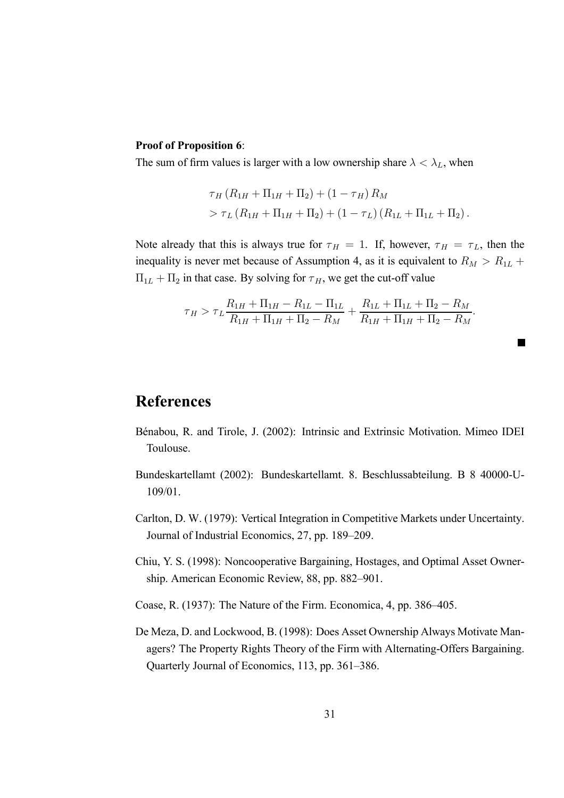#### **Proof of Proposition 6**:

The sum of firm values is larger with a low ownership share  $\lambda < \lambda_L$ , when

$$
\tau_H (R_{1H} + \Pi_{1H} + \Pi_2) + (1 - \tau_H) R_M
$$
  
> 
$$
\tau_L (R_{1H} + \Pi_{1H} + \Pi_2) + (1 - \tau_L) (R_{1L} + \Pi_{1L} + \Pi_2).
$$

Note already that this is always true for  $\tau_H = 1$ . If, however,  $\tau_H = \tau_L$ , then the inequality is never met because of Assumption 4, as it is equivalent to  $R_M > R_{1L}$  +  $\Pi_{1L} + \Pi_2$  in that case. By solving for  $\tau_H$ , we get the cut-off value

$$
\tau_H > \tau_L \frac{R_{1H} + \Pi_{1H} - R_{1L} - \Pi_{1L}}{R_{1H} + \Pi_{1H} + \Pi_2 - R_M} + \frac{R_{1L} + \Pi_{1L} + \Pi_2 - R_M}{R_{1H} + \Pi_{1H} + \Pi_2 - R_M}.
$$

# **References**

- Bénabou, R. and Tirole, J. (2002): Intrinsic and Extrinsic Motivation. Mimeo IDEI Toulouse.
- Bundeskartellamt (2002): Bundeskartellamt. 8. Beschlussabteilung. B 8 40000-U-109/01.
- Carlton, D. W. (1979): Vertical Integration in Competitive Markets under Uncertainty. Journal of Industrial Economics, 27, pp. 189–209.
- Chiu, Y. S. (1998): Noncooperative Bargaining, Hostages, and Optimal Asset Ownership. American Economic Review, 88, pp. 882–901.

Coase, R. (1937): The Nature of the Firm. Economica, 4, pp. 386–405.

De Meza, D. and Lockwood, B. (1998): Does Asset Ownership Always Motivate Managers? The Property Rights Theory of the Firm with Alternating-Offers Bargaining. Quarterly Journal of Economics, 113, pp. 361–386.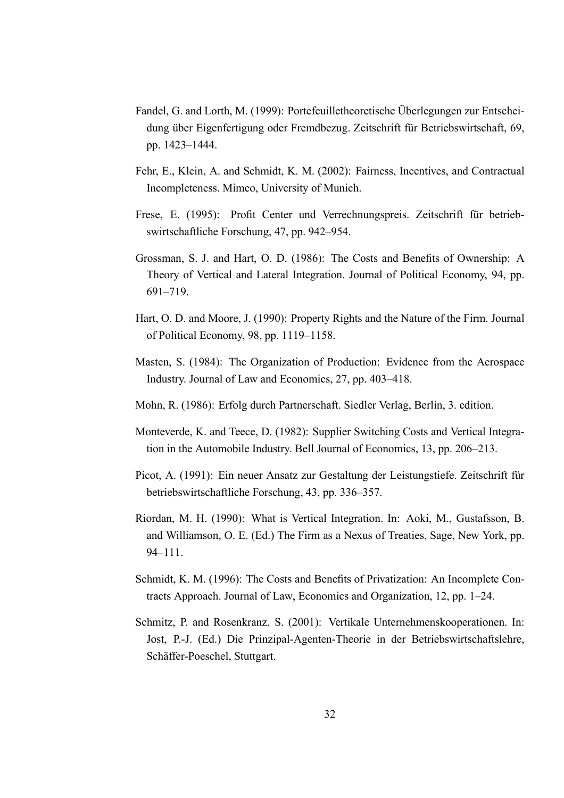- Fandel, G. and Lorth, M. (1999): Portefeuilletheoretische Überlegungen zur Entscheidung über Eigenfertigung oder Fremdbezug. Zeitschrift für Betriebswirtschaft, 69, pp. 1423–1444.
- Fehr, E., Klein, A. and Schmidt, K. M. (2002): Fairness, Incentives, and Contractual Incompleteness. Mimeo, University of Munich.
- Frese, E. (1995): Profit Center und Verrechnungspreis. Zeitschrift für betriebswirtschaftliche Forschung, 47, pp. 942–954.
- Grossman, S. J. and Hart, O. D. (1986): The Costs and Benefits of Ownership: A Theory of Vertical and Lateral Integration. Journal of Political Economy, 94, pp. 691–719.
- Hart, O. D. and Moore, J. (1990): Property Rights and the Nature of the Firm. Journal of Political Economy, 98, pp. 1119–1158.
- Masten, S. (1984): The Organization of Production: Evidence from the Aerospace Industry. Journal of Law and Economics, 27, pp. 403–418.
- Mohn, R. (1986): Erfolg durch Partnerschaft. Siedler Verlag, Berlin, 3. edition.
- Monteverde, K. and Teece, D. (1982): Supplier Switching Costs and Vertical Integration in the Automobile Industry. Bell Journal of Economics, 13, pp. 206–213.
- Picot, A. (1991): Ein neuer Ansatz zur Gestaltung der Leistungstiefe. Zeitschrift für betriebswirtschaftliche Forschung, 43, pp. 336–357.
- Riordan, M. H. (1990): What is Vertical Integration. In: Aoki, M., Gustafsson, B. and Williamson, O. E. (Ed.) The Firm as a Nexus of Treaties, Sage, New York, pp. 94–111.
- Schmidt, K. M. (1996): The Costs and Benefits of Privatization: An Incomplete Contracts Approach. Journal of Law, Economics and Organization, 12, pp. 1–24.
- Schmitz, P. and Rosenkranz, S. (2001): Vertikale Unternehmenskooperationen. In: Jost, P.-J. (Ed.) Die Prinzipal-Agenten-Theorie in der Betriebswirtschaftslehre, Schäffer-Poeschel, Stuttgart.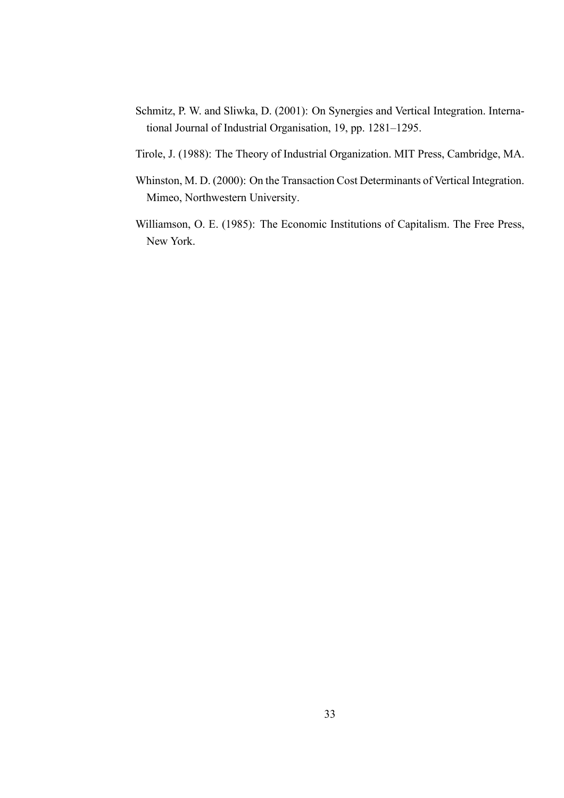- Schmitz, P. W. and Sliwka, D. (2001): On Synergies and Vertical Integration. International Journal of Industrial Organisation, 19, pp. 1281–1295.
- Tirole, J. (1988): The Theory of Industrial Organization. MIT Press, Cambridge, MA.
- Whinston, M. D. (2000): On the Transaction Cost Determinants of Vertical Integration. Mimeo, Northwestern University.
- Williamson, O. E. (1985): The Economic Institutions of Capitalism. The Free Press, New York.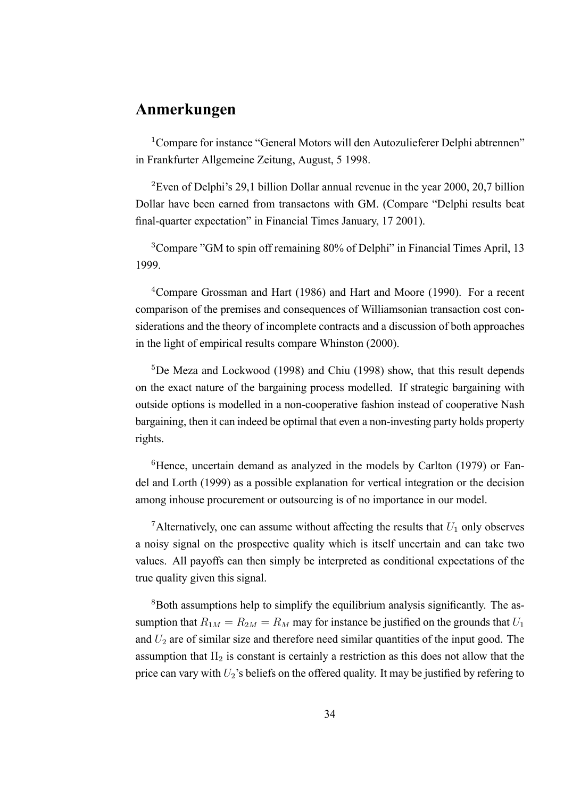# **Anmerkungen**

<sup>1</sup>Compare for instance "General Motors will den Autozulieferer Delphi abtrennen" in Frankfurter Allgemeine Zeitung, August, 5 1998.

<sup>2</sup>Even of Delphi's 29,1 billion Dollar annual revenue in the year 2000, 20,7 billion Dollar have been earned from transactons with GM. (Compare "Delphi results beat final-quarter expectation" in Financial Times January, 17 2001).

<sup>3</sup>Compare "GM to spin off remaining 80% of Delphi" in Financial Times April, 13 1999.

<sup>4</sup>Compare Grossman and Hart (1986) and Hart and Moore (1990). For a recent comparison of the premises and consequences of Williamsonian transaction cost considerations and the theory of incomplete contracts and a discussion of both approaches in the light of empirical results compare Whinston (2000).

<sup>5</sup>De Meza and Lockwood (1998) and Chiu (1998) show, that this result depends on the exact nature of the bargaining process modelled. If strategic bargaining with outside options is modelled in a non-cooperative fashion instead of cooperative Nash bargaining, then it can indeed be optimal that even a non-investing party holds property rights.

<sup>6</sup>Hence, uncertain demand as analyzed in the models by Carlton (1979) or Fandel and Lorth (1999) as a possible explanation for vertical integration or the decision among inhouse procurement or outsourcing is of no importance in our model.

<sup>7</sup>Alternatively, one can assume without affecting the results that  $U_1$  only observes a noisy signal on the prospective quality which is itself uncertain and can take two values. All payoffs can then simply be interpreted as conditional expectations of the true quality given this signal.

<sup>8</sup>Both assumptions help to simplify the equilibrium analysis significantly. The assumption that  $R_{1M} = R_{2M} = R_M$  may for instance be justified on the grounds that  $U_1$ and  $U_2$  are of similar size and therefore need similar quantities of the input good. The assumption that  $\Pi_2$  is constant is certainly a restriction as this does not allow that the price can vary with  $U_2$ 's beliefs on the offered quality. It may be justified by refering to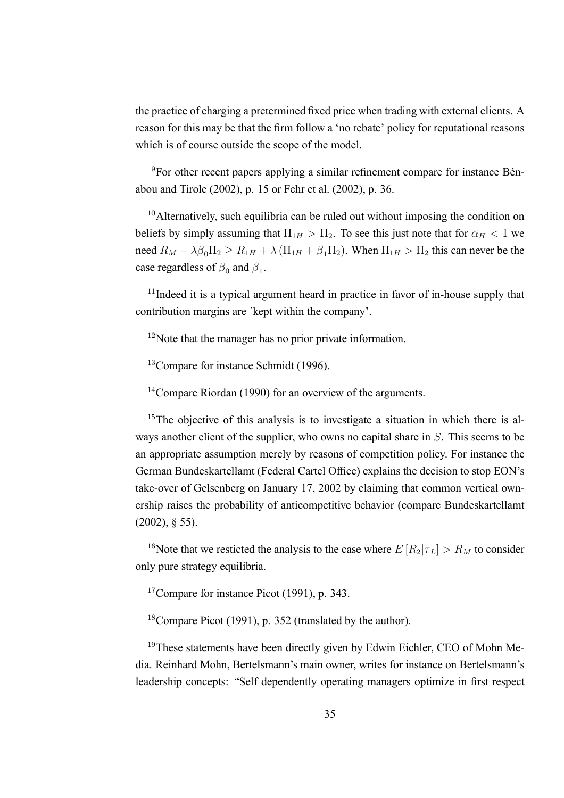the practice of charging a pretermined fixed price when trading with external clients. A reason for this may be that the firm follow a 'no rebate' policy for reputational reasons which is of course outside the scope of the model.

9For other recent papers applying a similar refinement compare for instance Bénabou and Tirole (2002), p. 15 or Fehr et al. (2002), p. 36.

<sup>10</sup>Alternatively, such equilibria can be ruled out without imposing the condition on beliefs by simply assuming that  $\Pi_{1H} > \Pi_2$ . To see this just note that for  $\alpha_H < 1$  we need  $R_M + \lambda \beta_0 \Pi_2 \ge R_{1H} + \lambda (\Pi_{1H} + \beta_1 \Pi_2)$ . When  $\Pi_{1H} > \Pi_2$  this can never be the case regardless of  $\beta_0$  and  $\beta_1$ .

<sup>11</sup>Indeed it is a typical argument heard in practice in favor of in-house supply that contribution margins are ´kept within the company'.

<sup>12</sup>Note that the manager has no prior private information.

<sup>13</sup>Compare for instance Schmidt (1996).

<sup>14</sup>Compare Riordan (1990) for an overview of the arguments.

 $15$ The objective of this analysis is to investigate a situation in which there is always another client of the supplier, who owns no capital share in S. This seems to be an appropriate assumption merely by reasons of competition policy. For instance the German Bundeskartellamt (Federal Cartel Office) explains the decision to stop EON's take-over of Gelsenberg on January 17, 2002 by claiming that common vertical ownership raises the probability of anticompetitive behavior (compare Bundeskartellamt (2002), § 55).

<sup>16</sup>Note that we resticted the analysis to the case where  $E[R_2|\tau_L] > R_M$  to consider only pure strategy equilibria.

<sup>17</sup>Compare for instance Picot (1991), p. 343.

<sup>18</sup>Compare Picot (1991), p. 352 (translated by the author).

<sup>19</sup>These statements have been directly given by Edwin Eichler, CEO of Mohn Media. Reinhard Mohn, Bertelsmann's main owner, writes for instance on Bertelsmann's leadership concepts: "Self dependently operating managers optimize in first respect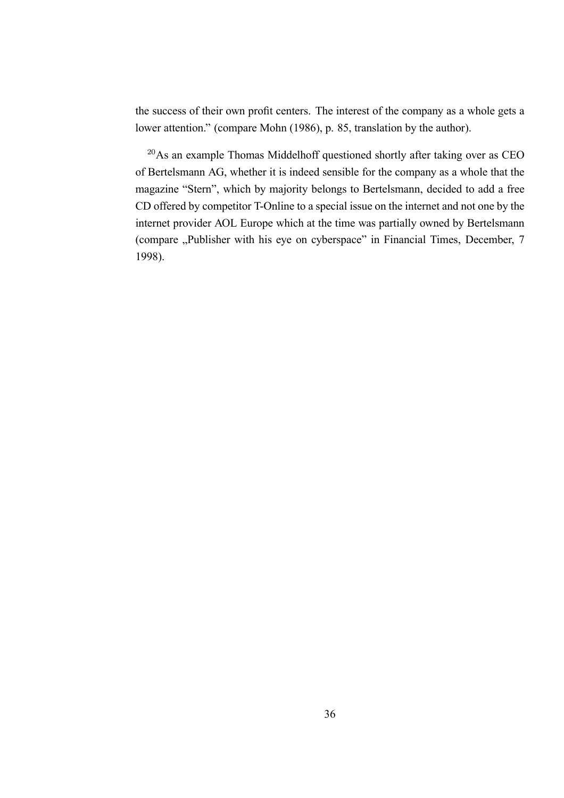the success of their own profit centers. The interest of the company as a whole gets a lower attention." (compare Mohn (1986), p. 85, translation by the author).

<sup>20</sup>As an example Thomas Middelhoff questioned shortly after taking over as CEO of Bertelsmann AG, whether it is indeed sensible for the company as a whole that the magazine "Stern", which by majority belongs to Bertelsmann, decided to add a free CD offered by competitor T-Online to a special issue on the internet and not one by the internet provider AOL Europe which at the time was partially owned by Bertelsmann (compare "Publisher with his eye on cyberspace" in Financial Times, December, 7 1998).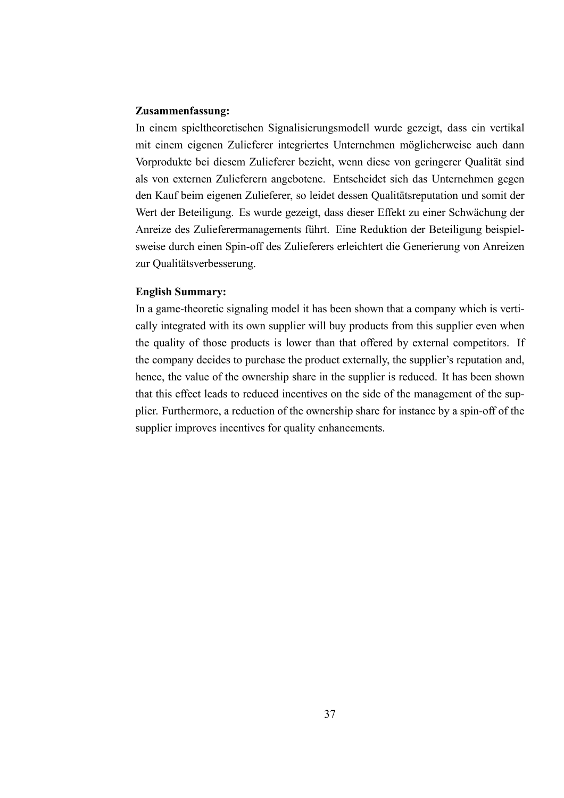#### **Zusammenfassung:**

In einem spieltheoretischen Signalisierungsmodell wurde gezeigt, dass ein vertikal mit einem eigenen Zulieferer integriertes Unternehmen möglicherweise auch dann Vorprodukte bei diesem Zulieferer bezieht, wenn diese von geringerer Qualität sind als von externen Zulieferern angebotene. Entscheidet sich das Unternehmen gegen den Kauf beim eigenen Zulieferer, so leidet dessen Qualitätsreputation und somit der Wert der Beteiligung. Es wurde gezeigt, dass dieser Effekt zu einer Schwächung der Anreize des Zulieferermanagements führt. Eine Reduktion der Beteiligung beispielsweise durch einen Spin-off des Zulieferers erleichtert die Generierung von Anreizen zur Qualitätsverbesserung.

#### **English Summary:**

In a game-theoretic signaling model it has been shown that a company which is vertically integrated with its own supplier will buy products from this supplier even when the quality of those products is lower than that offered by external competitors. If the company decides to purchase the product externally, the supplier's reputation and, hence, the value of the ownership share in the supplier is reduced. It has been shown that this effect leads to reduced incentives on the side of the management of the supplier. Furthermore, a reduction of the ownership share for instance by a spin-off of the supplier improves incentives for quality enhancements.